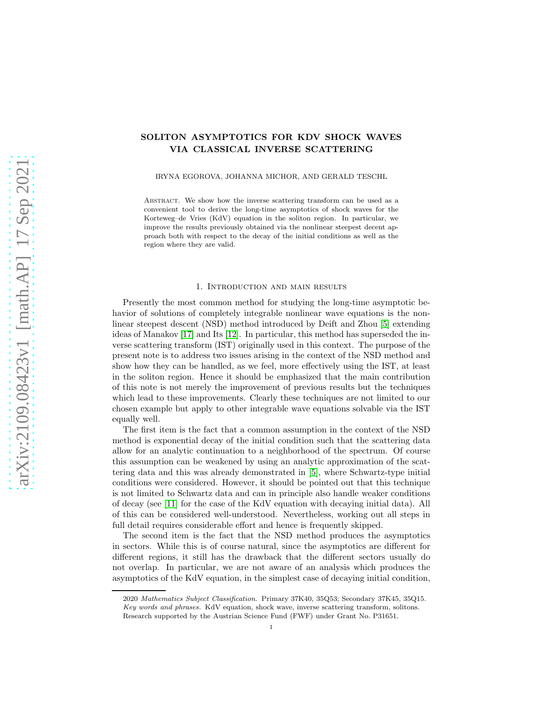# SOLITON ASYMPTOTICS FOR KDV SHOCK WAVES VIA CLASSICAL INVERSE SCATTERING

IRYNA EGOROVA, JOHANNA MICHOR, AND GERALD TESCHL

Abstract. We show how the inverse scattering transform can be used as a convenient tool to derive the long-time asymptotics of shock waves for the Korteweg–de Vries (KdV) equation in the soliton region. In particular, we improve the results previously obtained via the nonlinear steepest decent approach both with respect to the decay of the initial conditions as well as the region where they are valid.

### 1. Introduction and main results

Presently the most common method for studying the long-time asymptotic behavior of solutions of completely integrable nonlinear wave equations is the nonlinear steepest descent (NSD) method introduced by Deift and Zhou [\[5\]](#page-20-0) extending ideas of Manakov [\[17\]](#page-20-1) and Its [\[12\]](#page-20-2). In particular, this method has superseded the inverse scattering transform (IST) originally used in this context. The purpose of the present note is to address two issues arising in the context of the NSD method and show how they can be handled, as we feel, more effectively using the IST, at least in the soliton region. Hence it should be emphasized that the main contribution of this note is not merely the improvement of previous results but the techniques which lead to these improvements. Clearly these techniques are not limited to our chosen example but apply to other integrable wave equations solvable via the IST equally well.

The first item is the fact that a common assumption in the context of the NSD method is exponential decay of the initial condition such that the scattering data allow for an analytic continuation to a neighborhood of the spectrum. Of course this assumption can be weakened by using an analytic approximation of the scattering data and this was already demonstrated in [\[5\]](#page-20-0), where Schwartz-type initial conditions were considered. However, it should be pointed out that this technique is not limited to Schwartz data and can in principle also handle weaker conditions of decay (see [\[11\]](#page-20-3) for the case of the KdV equation with decaying initial data). All of this can be considered well-understood. Nevertheless, working out all steps in full detail requires considerable effort and hence is frequently skipped.

The second item is the fact that the NSD method produces the asymptotics in sectors. While this is of course natural, since the asymptotics are different for different regions, it still has the drawback that the different sectors usually do not overlap. In particular, we are not aware of an analysis which produces the asymptotics of the KdV equation, in the simplest case of decaying initial condition,

<sup>2020</sup> Mathematics Subject Classification. Primary 37K40, 35Q53; Secondary 37K45, 35Q15. Key words and phrases. KdV equation, shock wave, inverse scattering transform, solitons. Research supported by the Austrian Science Fund (FWF) under Grant No. P31651.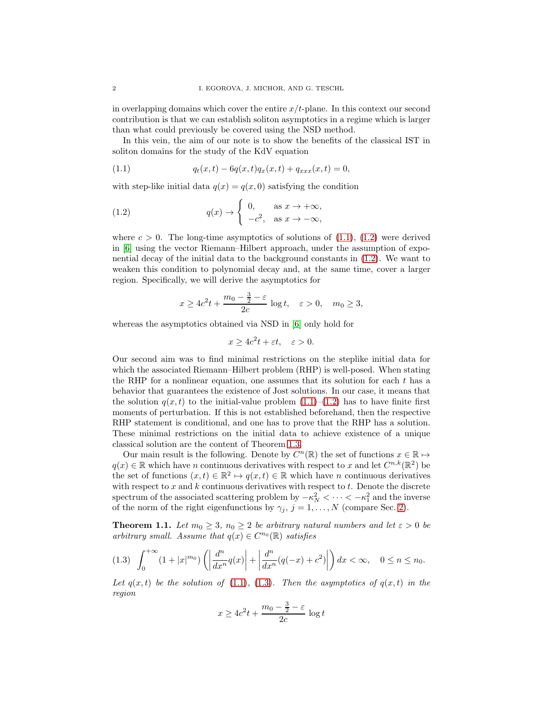in overlapping domains which cover the entire  $x/t$ -plane. In this context our second contribution is that we can establish soliton asymptotics in a regime which is larger than what could previously be covered using the NSD method.

In this vein, the aim of our note is to show the benefits of the classical IST in soliton domains for the study of the KdV equation

<span id="page-1-0"></span>(1.1) 
$$
q_t(x,t) - 6q(x,t)q_x(x,t) + q_{xxx}(x,t) = 0,
$$

with step-like initial data  $q(x) = q(x, 0)$  satisfying the condition

(1.2) 
$$
q(x) \to \begin{cases} 0, & \text{as } x \to +\infty, \\ -c^2, & \text{as } x \to -\infty, \end{cases}
$$

where  $c > 0$ . The long-time asymptotics of solutions of [\(1.1\)](#page-1-0), [\(1.2\)](#page-1-1) were derived in [\[6\]](#page-20-4) using the vector Riemann–Hilbert approach, under the assumption of exponential decay of the initial data to the background constants in [\(1.2\)](#page-1-1). We want to weaken this condition to polynomial decay and, at the same time, cover a larger region. Specifically, we will derive the asymptotics for

<span id="page-1-1"></span>
$$
x \ge 4c^2t + \frac{m_0 - \frac{3}{2} - \varepsilon}{2c} \log t, \quad \varepsilon > 0, \quad m_0 \ge 3,
$$

whereas the asymptotics obtained via NSD in [\[6\]](#page-20-4) only hold for

$$
x \ge 4c^2t + \varepsilon t, \quad \varepsilon > 0.
$$

Our second aim was to find minimal restrictions on the steplike initial data for which the associated Riemann–Hilbert problem (RHP) is well-posed. When stating the RHP for a nonlinear equation, one assumes that its solution for each  $t$  has a behavior that guarantees the existence of Jost solutions. In our case, it means that the solution  $q(x, t)$  to the initial-value problem  $(1.1)$ – $(1.2)$  has to have finite first moments of perturbation. If this is not established beforehand, then the respective RHP statement is conditional, and one has to prove that the RHP has a solution. These minimal restrictions on the initial data to achieve existence of a unique classical solution are the content of Theorem [1.3.](#page-3-0)

Our main result is the following. Denote by  $C^n(\mathbb{R})$  the set of functions  $x \in \mathbb{R} \mapsto$  $q(x) \in \mathbb{R}$  which have n continuous derivatives with respect to x and let  $C^{n,k}(\mathbb{R}^2)$  be the set of functions  $(x,t) \in \mathbb{R}^2 \mapsto q(x,t) \in \mathbb{R}$  which have n continuous derivatives with respect to  $x$  and  $k$  continuous derivatives with respect to  $t$ . Denote the discrete spectrum of the associated scattering problem by  $-\kappa_N^2 < \cdots < -\kappa_1^2$  and the inverse of the norm of the right eigenfunctions by  $\gamma_j$ ,  $j = 1, \ldots, N$  (compare Sec. [2\)](#page-4-0).

<span id="page-1-3"></span>**Theorem 1.1.** Let  $m_0 \geq 3$ ,  $n_0 \geq 2$  be arbitrary natural numbers and let  $\varepsilon > 0$  be arbitrary small. Assume that  $q(x) \in C^{n_0}(\mathbb{R})$  satisfies

<span id="page-1-2"></span>
$$
(1.3)\quad \int_0^{+\infty} (1+|x|^{m_0}) \left( \left| \frac{d^n}{dx^n} q(x) \right| + \left| \frac{d^n}{dx^n} (q(-x)+c^2) \right| \right) dx < \infty, \quad 0 \le n \le n_0.
$$

Let  $q(x, t)$  be the solution of [\(1.1\)](#page-1-0), [\(1.3\)](#page-1-2). Then the asymptotics of  $q(x, t)$  in the region

$$
x \ge 4c^2t + \frac{m_0 - \frac{3}{2} - \varepsilon}{2c} \log t
$$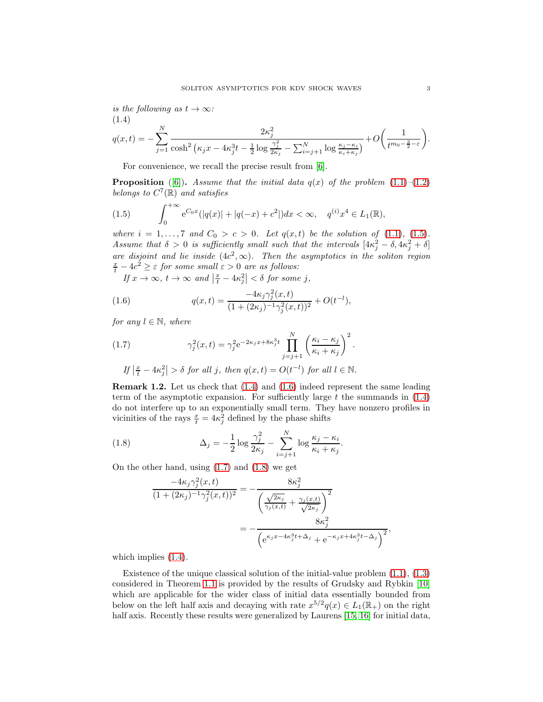is the following as  $t \to \infty$ : (1.4)

<span id="page-2-1"></span>
$$
q(x,t) = -\sum_{j=1}^{N} \frac{2\kappa_j^2}{\cosh^2\left(\kappa_j x - 4\kappa_j^3 t - \frac{1}{2}\log\frac{\gamma_j^2}{2\kappa_j} - \sum_{i=j+1}^{N}\log\frac{\kappa_j - \kappa_i}{\kappa_i + \kappa_j}\right)} + O\left(\frac{1}{t^{m_0 - \frac{3}{2} - \varepsilon}}\right).
$$

For convenience, we recall the precise result from [\[6\]](#page-20-4).

**Proposition** ([\[6\]](#page-20-4)). Assume that the initial data  $q(x)$  of the problem [\(1.1\)](#page-1-0)–[\(1.2\)](#page-1-1) belongs to  $C^7(\mathbb{R})$  and satisfies

<span id="page-2-0"></span>(1.5) 
$$
\int_0^{+\infty} e^{C_0 x} (|q(x)| + |q(-x) + c^2|) dx < \infty, \quad q^{(i)} x^4 \in L_1(\mathbb{R}),
$$

where  $i = 1, ..., 7$  and  $C_0 > c > 0$ . Let  $q(x, t)$  be the solution of [\(1.1\)](#page-1-0), [\(1.5\)](#page-2-0). Assume that  $\delta > 0$  is sufficiently small such that the intervals  $[4\kappa_j^2 - \delta, 4\kappa_j^2 + \delta]$ are disjoint and lie inside  $(4c^2, \infty)$ . Then the asymptotics in the soliton region  $\frac{x}{t} - 4c^2 \ge \varepsilon$  for some small  $\varepsilon > 0$  are as follows:

<span id="page-2-2"></span>If  $x \to \infty$ ,  $t \to \infty$  and  $\left|\frac{x}{t} - 4\kappa_j^2\right| < \delta$  for some j,

(1.6) 
$$
q(x,t) = \frac{-4\kappa_j \gamma_j^2(x,t)}{(1+(2\kappa_j)^{-1}\gamma_j^2(x,t))^2} + O(t^{-l}),
$$

for any  $l \in \mathbb{N}$ , where

<span id="page-2-3"></span>(1.7) 
$$
\gamma_j^2(x,t) = \gamma_j^2 e^{-2\kappa_j x + 8\kappa_j^3 t} \prod_{j=j+1}^N \left(\frac{\kappa_i - \kappa_j}{\kappa_i + \kappa_j}\right)^2.
$$
  
If  $\left|\frac{x}{t} - 4\kappa_j^2\right| > \delta$  for all j, then  $q(x,t) = O(t^{-l})$  for all  $l \in \mathbb{N}$ .

Remark 1.2. Let us check that [\(1.4\)](#page-2-1) and [\(1.6\)](#page-2-2) indeed represent the same leading term of the asymptotic expansion. For sufficiently large t the summands in  $(1.4)$ do not interfere up to an exponentially small term. They have nonzero profiles in vicinities of the rays  $\frac{x}{t} = 4\kappa_j^2$  defined by the phase shifts

(1.8) 
$$
\Delta_j = -\frac{1}{2} \log \frac{\gamma_j^2}{2\kappa_j} - \sum_{i=j+1}^N \log \frac{\kappa_j - \kappa_i}{\kappa_i + \kappa_j}.
$$

On the other hand, using [\(1.7\)](#page-2-3) and [\(1.8\)](#page-2-4) we get

<span id="page-2-4"></span>
$$
\frac{-4\kappa_j \gamma_j^2(x,t)}{(1+(2\kappa_j)^{-1}\gamma_j^2(x,t))^2} = -\frac{8\kappa_j^2}{\left(\frac{\sqrt{2\kappa_j}}{\gamma_j(x,t)} + \frac{\gamma_j(x,t)}{\sqrt{2\kappa_j}}\right)^2} \n= -\frac{8\kappa_j^2}{\left(e^{\kappa_j x - 4\kappa_j^3 t + \Delta_j} + e^{-\kappa_j x + 4\kappa_j^3 t - \Delta_j}\right)^2},
$$

which implies  $(1.4)$ .

Existence of the unique classical solution of the initial-value problem [\(1.1\)](#page-1-0), [\(1.3\)](#page-1-2) considered in Theorem [1.1](#page-1-3) is provided by the results of Grudsky and Rybkin [\[10\]](#page-20-5) which are applicable for the wider class of initial data essentially bounded from below on the left half axis and decaying with rate  $x^{5/2}q(x) \in L_1(\mathbb{R}_+)$  on the right half axis. Recently these results were generalized by Laurens [\[15,](#page-20-6) [16\]](#page-20-7) for initial data,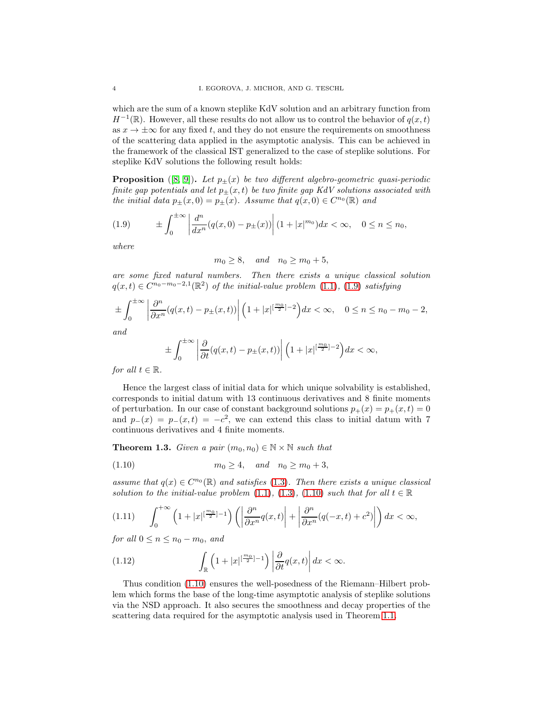which are the sum of a known steplike KdV solution and an arbitrary function from  $H^{-1}(\mathbb{R})$ . However, all these results do not allow us to control the behavior of  $q(x,t)$ as  $x \to \pm \infty$  for any fixed t, and they do not ensure the requirements on smoothness of the scattering data applied in the asymptotic analysis. This can be achieved in the framework of the classical IST generalized to the case of steplike solutions. For steplike KdV solutions the following result holds:

**Proposition** ([\[8,](#page-20-8) [9\]](#page-20-9)). Let  $p_{\pm}(x)$  be two different algebro-geometric quasi-periodic finite gap potentials and let  $p_{\pm}(x,t)$  be two finite gap KdV solutions associated with the initial data  $p_{\pm}(x,0) = p_{\pm}(x)$ . Assume that  $q(x,0) \in C^{n_0}(\mathbb{R})$  and

<span id="page-3-1"></span>(1.9) ± Z ±∞ 0 d n dx<sup>n</sup> (q(x, 0) − p±(x)) (1 + |x| m<sup>0</sup> )dx < ∞, 0 ≤ n ≤ n0,

where

$$
m_0 \ge 8, \quad and \quad n_0 \ge m_0 + 5,
$$

are some fixed natural numbers. Then there exists a unique classical solution  $q(x,t) \in C^{n_0-m_0-2,1}(\mathbb{R}^2)$  of the initial-value problem  $(1.1)$ ,  $(1.9)$  satisfying

$$
\pm \int_0^{\pm \infty} \left| \frac{\partial^n}{\partial x^n} (q(x,t) - p_{\pm}(x,t)) \right| \left( 1 + |x|^{\left[\frac{m_0}{2}\right]-2} \right) dx < \infty, \quad 0 \le n \le n_0 - m_0 - 2,
$$

and

$$
\pm \int_0^{\pm \infty} \left| \frac{\partial}{\partial t} (q(x,t) - p_{\pm}(x,t)) \right| \left( 1 + |x|^{\left[\frac{m_0}{2}\right]-2} \right) dx < \infty,
$$

for all  $t \in \mathbb{R}$ .

Hence the largest class of initial data for which unique solvability is established, corresponds to initial datum with 13 continuous derivatives and 8 finite moments of perturbation. In our case of constant background solutions  $p_+(x) = p_+(x, t) = 0$ and  $p_-(x) = p_-(x,t) = -c^2$ , we can extend this class to initial datum with 7 continuous derivatives and 4 finite moments.

<span id="page-3-0"></span>**Theorem 1.3.** Given a pair  $(m_0, n_0) \in \mathbb{N} \times \mathbb{N}$  such that

<span id="page-3-2"></span>
$$
(1.10) \t m_0 \ge 4, \t and \t n_0 \ge m_0 + 3,
$$

assume that  $q(x) \in C^{n_0}(\mathbb{R})$  and satisfies [\(1.3\)](#page-1-2). Then there exists a unique classical solution to the initial-value problem [\(1.1\)](#page-1-0), [\(1.3\)](#page-1-2), [\(1.10\)](#page-3-2) such that for all  $t \in \mathbb{R}$ 

$$
(1.11)\qquad \int_0^{+\infty} \left(1+|x|^{\left[\frac{m_0}{2}\right]-1}\right) \left(\left|\frac{\partial^n}{\partial x^n}q(x,t)\right|+\left|\frac{\partial^n}{\partial x^n}(q(-x,t)+c^2)\right|\right)dx < \infty,
$$

for all  $0 \leq n \leq n_0 - m_0$ , and

(1.12) 
$$
\int_{\mathbb{R}} \left(1+|x|^{\left[\frac{m_0}{2}\right]-1}\right) \left|\frac{\partial}{\partial t}q(x,t)\right| dx < \infty.
$$

Thus condition [\(1.10\)](#page-3-2) ensures the well-posedness of the Riemann–Hilbert problem which forms the base of the long-time asymptotic analysis of steplike solutions via the NSD approach. It also secures the smoothness and decay properties of the scattering data required for the asymptotic analysis used in Theorem [1.1.](#page-1-3)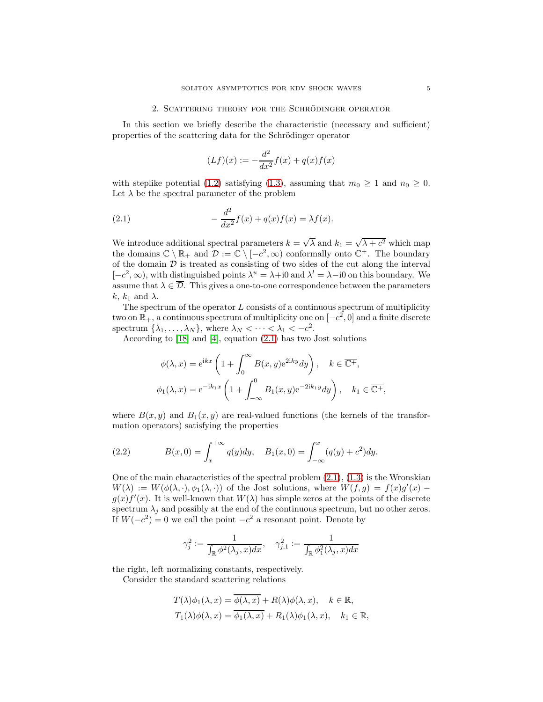### 2. SCATTERING THEORY FOR THE SCHRÖDINGER OPERATOR

<span id="page-4-0"></span>In this section we briefly describe the characteristic (necessary and sufficient) properties of the scattering data for the Schrödinger operator

<span id="page-4-1"></span>
$$
(Lf)(x) := -\frac{d^2}{dx^2}f(x) + q(x)f(x)
$$

with steplike potential [\(1.2\)](#page-1-1) satisfying [\(1.3\)](#page-1-2), assuming that  $m_0 \geq 1$  and  $n_0 \geq 0$ . Let  $\lambda$  be the spectral parameter of the problem

(2.1) 
$$
-\frac{d^2}{dx^2}f(x) + q(x)f(x) = \lambda f(x).
$$

We introduce additional spectral parameters  $k = \sqrt{\lambda}$  and  $k_1 = \sqrt{\lambda + c^2}$  which map the domains  $\mathbb{C} \setminus \mathbb{R}_+$  and  $\mathcal{D} := \mathbb{C} \setminus [-c^2, \infty)$  conformally onto  $\mathbb{C}^+$ . The boundary of the domain  $\mathcal D$  is treated as consisting of two sides of the cut along the interval  $[-c^2, \infty)$ , with distinguished points  $\lambda^u = \lambda + i0$  and  $\lambda^l = \lambda - i0$  on this boundary. We assume that  $\lambda \in \overline{\mathcal{D}}$ . This gives a one-to-one correspondence between the parameters  $k, k_1$  and  $\lambda$ .

The spectrum of the operator  $L$  consists of a continuous spectrum of multiplicity two on  $\mathbb{R}_+$ , a continuous spectrum of multiplicity one on  $[-c^2, 0]$  and a finite discrete spectrum  $\{\lambda_1, \ldots, \lambda_N\}$ , where  $\lambda_N < \cdots < \lambda_1 < -c^2$ .

According to [\[18\]](#page-20-10) and [\[4\]](#page-20-11), equation [\(2.1\)](#page-4-1) has two Jost solutions

$$
\phi(\lambda, x) = e^{ikx} \left( 1 + \int_0^\infty B(x, y) e^{2iky} dy \right), \quad k \in \overline{\mathbb{C}^+},
$$
  

$$
\phi_1(\lambda, x) = e^{-ik_1x} \left( 1 + \int_{-\infty}^0 B_1(x, y) e^{-2ik_1y} dy \right), \quad k_1 \in \overline{\mathbb{C}^+},
$$

where  $B(x, y)$  and  $B_1(x, y)$  are real-valued functions (the kernels of the transformation operators) satisfying the properties

<span id="page-4-2"></span>(2.2) 
$$
B(x,0) = \int_{x}^{+\infty} q(y)dy, \quad B_1(x,0) = \int_{-\infty}^{x} (q(y) + c^2)dy.
$$

One of the main characteristics of the spectral problem  $(2.1)$ ,  $(1.3)$  is the Wronskian  $W(\lambda) := W(\phi(\lambda, \cdot), \phi_1(\lambda, \cdot))$  of the Jost solutions, where  $W(f, g) = f(x)g'(x)$  $g(x)f'(x)$ . It is well-known that  $W(\lambda)$  has simple zeros at the points of the discrete spectrum  $\lambda_i$  and possibly at the end of the continuous spectrum, but no other zeros. If  $W(-c^2) = 0$  we call the point  $-c^2$  a resonant point. Denote by

$$
\gamma_j^2:=\frac{1}{\int_{\mathbb{R}}\phi^2(\lambda_j,x)dx},\quad \gamma_{j,1}^2:=\frac{1}{\int_{\mathbb{R}}\phi_1^2(\lambda_j,x)dx}
$$

the right, left normalizing constants, respectively.

Consider the standard scattering relations

$$
T(\lambda)\phi_1(\lambda, x) = \overline{\phi(\lambda, x)} + R(\lambda)\phi(\lambda, x), \quad k \in \mathbb{R},
$$
  
\n
$$
T_1(\lambda)\phi(\lambda, x) = \overline{\phi_1(\lambda, x)} + R_1(\lambda)\phi_1(\lambda, x), \quad k_1 \in \mathbb{R},
$$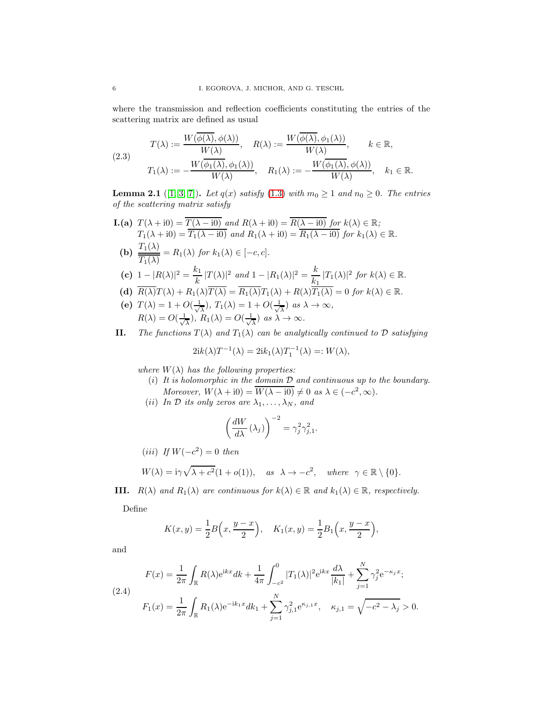where the transmission and reflection coefficients constituting the entries of the scattering matrix are defined as usual

$$
(2.3) \quad T(\lambda) := \frac{W(\overline{\phi(\lambda)}, \phi(\lambda))}{W(\lambda)}, \quad R(\lambda) := \frac{W(\overline{\phi(\lambda)}, \phi_1(\lambda))}{W(\lambda)}, \quad k \in \mathbb{R},
$$
\n
$$
T_1(\lambda) := -\frac{W(\overline{\phi_1(\lambda)}, \phi_1(\lambda))}{W(\lambda)}, \quad R_1(\lambda) := -\frac{W(\overline{\phi_1(\lambda)}, \phi(\lambda))}{W(\lambda)}, \quad k_1 \in \mathbb{R}.
$$

<span id="page-5-0"></span>**Lemma 2.1** ([\[1,](#page-20-12) [3,](#page-20-13) [7\]](#page-20-14)). Let  $q(x)$  satisfy [\(1.3\)](#page-1-2) with  $m_0 \ge 1$  and  $n_0 \ge 0$ . The entries of the scattering matrix satisfy

- **I.(a)**  $T(\lambda + i0) = \overline{T(\lambda i0)}$  and  $R(\lambda + i0) = \overline{R(\lambda i0)}$  for  $k(\lambda) \in \mathbb{R}$ ;  $T_1(\lambda + i0) = \overline{T_1(\lambda - i0)}$  and  $R_1(\lambda + i0) = \overline{R_1(\lambda - i0)}$  for  $k_1(\lambda) \in \mathbb{R}$ . (b)  $\frac{T_1(\lambda)}{\overline{T_1(\lambda)}}$  $\frac{T_1(\lambda)}{T_1(\lambda)} = R_1(\lambda)$  for  $k_1(\lambda) \in [-c, c]$ . (c)  $1 - |R(\lambda)|^2 = \frac{k_1}{k_1}$  $\frac{k_1}{k} |T(\lambda)|^2$  and  $1 - |R_1(\lambda)|^2 = \frac{k_1}{k_1}$  $\frac{\kappa}{k_1} |T_1(\lambda)|^2$  for  $k(\lambda) \in \mathbb{R}$ .
- (d)  $\overline{R(\lambda)}T(\lambda) + R_1(\lambda)\overline{T(\lambda)} = \overline{R_1(\lambda)}T_1(\lambda) + R(\lambda)\overline{T_1(\lambda)} = 0$  for  $k(\lambda) \in \mathbb{R}$ .
- (e)  $T(\lambda) = 1 + O(\frac{1}{\lambda})$  $(\frac{1}{\lambda}), T_1(\lambda) = 1 + O(\frac{1}{\sqrt{\lambda}})$  $\frac{1}{\lambda}$ ) as  $\lambda \to \infty$ ,  $R(\lambda) = O(\frac{1}{\lambda})$  $\frac{1}{\lambda}$ ),  $R_1(\lambda) = O(\frac{1}{\sqrt{\lambda}})$  $\frac{1}{\lambda}$ ) as  $\lambda \to \infty$ .
- II. The functions  $T(\lambda)$  and  $T_1(\lambda)$  can be analytically continued to D satisfying

$$
2ik(\lambda)T^{-1}(\lambda) = 2ik_1(\lambda)T_1^{-1}(\lambda) =: W(\lambda),
$$

where  $W(\lambda)$  has the following properties:

- (i) It is holomorphic in the domain  $D$  and continuous up to the boundary. Moreover,  $W(\lambda + i0) = \overline{W(\lambda - i0)} \neq 0$  as  $\lambda \in (-c^2, \infty)$ .
- (ii) In  $\mathcal D$  its only zeros are  $\lambda_1, \ldots, \lambda_N$ , and

$$
\left(\frac{dW}{d\lambda}\left(\lambda_{j}\right)\right)^{-2}=\gamma_{j}^{2}\gamma_{j,1}^{2}.
$$

$$
(iii) \text{ If } W(-c^2) = 0 \text{ then}
$$

$$
W(\lambda) = i\gamma \sqrt{\lambda + c^2} (1 + o(1)), \quad \text{as } \lambda \to -c^2, \quad \text{where } \gamma \in \mathbb{R} \setminus \{0\}.
$$

**III.**  $R(\lambda)$  and  $R_1(\lambda)$  are continuous for  $k(\lambda) \in \mathbb{R}$  and  $k_1(\lambda) \in \mathbb{R}$ , respectively.

Define

$$
K(x,y) = \frac{1}{2}B\left(x, \frac{y-x}{2}\right), \quad K_1(x,y) = \frac{1}{2}B_1\left(x, \frac{y-x}{2}\right),
$$

and

(2.4)  

$$
F(x) = \frac{1}{2\pi} \int_{\mathbb{R}} R(\lambda) e^{ikx} dk + \frac{1}{4\pi} \int_{-c^2}^0 |T_1(\lambda)|^2 e^{ikx} \frac{d\lambda}{|k_1|} + \sum_{j=1}^N \gamma_j^2 e^{-\kappa_j x};
$$
  

$$
F_1(x) = \frac{1}{2\pi} \int_{\mathbb{R}} R_1(\lambda) e^{-ik_1 x} dk_1 + \sum_{j=1}^N \gamma_{j,1}^2 e^{\kappa_{j,1} x}, \quad \kappa_{j,1} = \sqrt{-c^2 - \lambda_j} > 0.
$$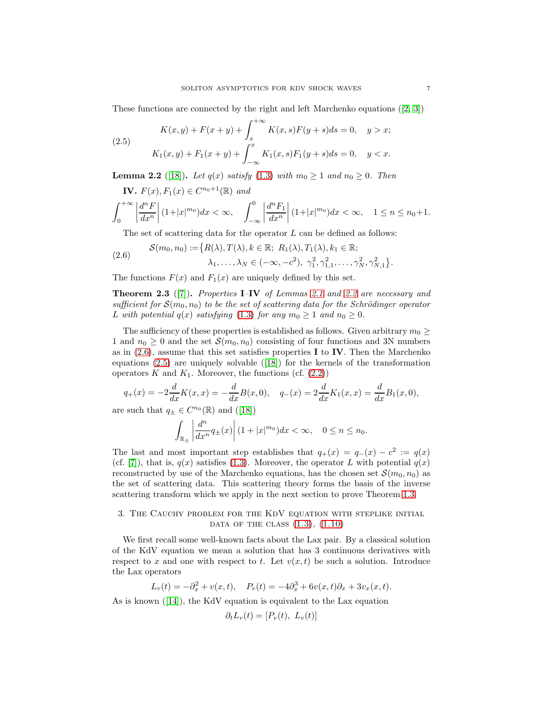These functions are connected by the right and left Marchenko equations([\[2,](#page-20-15) [3\]](#page-20-13))

<span id="page-6-2"></span>(2.5) 
$$
K(x, y) + F(x + y) + \int_{x}^{+\infty} K(x, s)F(y + s)ds = 0, \quad y > x;
$$

$$
K_1(x, y) + F_1(x + y) + \int_{-\infty}^{x} K_1(x, s)F_1(y + s)ds = 0, \quad y < x.
$$

<span id="page-6-0"></span>**Lemma 2.2** ([\[18\]](#page-20-10)). Let  $q(x)$  satisfy [\(1.3\)](#page-1-2) with  $m_0 \ge 1$  and  $n_0 \ge 0$ . Then

**IV.** 
$$
F(x), F_1(x) \in C^{n_0+1}(\mathbb{R})
$$
 and  

$$
\int_0^{+\infty} \left| \frac{d^n F}{dx^n} \right| (1+|x|^{m_0}) dx < \infty, \quad \int_{-\infty}^0 \left| \frac{d^n F_1}{dx^n} \right| (1+|x|^{m_0}) dx < \infty, \quad 1 \le n \le n_0+1.
$$

<span id="page-6-1"></span>The set of scattering data for the operator  $L$  can be defined as follows:

(2.6) 
$$
\mathcal{S}(m_0, n_0) := \{R(\lambda), T(\lambda), k \in \mathbb{R}; R_1(\lambda), T_1(\lambda), k_1 \in \mathbb{R};
$$

$$
\lambda_1, \dots, \lambda_N \in (-\infty, -c^2), \gamma_1^2, \gamma_{1,1}^2, \dots, \gamma_N^2, \gamma_{N,1}^2\}.
$$

The functions  $F(x)$  and  $F_1(x)$  are uniquely defined by this set.

**Theorem 2.3** ([\[7\]](#page-20-14)). Properties **I–IV** of Lemmas [2.1](#page-5-0) and [2.2](#page-6-0) are necessary and sufficient for  $\mathcal{S}(m_0, n_0)$  to be the set of scattering data for the Schrödinger operator L with potential  $q(x)$  satisfying [\(1.3\)](#page-1-2) for any  $m_0 \geq 1$  and  $n_0 \geq 0$ .

The sufficiency of these properties is established as follows. Given arbitrary  $m_0 \geq$ 1 and  $n_0 \geq 0$  and the set  $\mathcal{S}(m_0, n_0)$  consisting of four functions and 3N numbers as in  $(2.6)$ , assume that this set satisfies properties I to IV. Then the Marchenko equations [\(2.5\)](#page-6-2) are uniquely solvable([\[18\]](#page-20-10)) for the kernels of the transformation operators K and  $K_1$ . Moreover, the functions (cf.  $(2.2)$ )

$$
q_{+}(x) = -2\frac{d}{dx}K(x,x) = -\frac{d}{dx}B(x,0), \quad q_{-}(x) = 2\frac{d}{dx}K_{1}(x,x) = \frac{d}{dx}B_{1}(x,0),
$$

aresuch that  $q_{\pm} \in C^{n_0}(\mathbb{R})$  and  $([18])$  $([18])$  $([18])$ 

$$
\int_{\mathbb{R}_{\pm}}\left|\frac{d^n}{dx^n}q_{\pm}(x)\right|(1+|x|^{m_0})dx<\infty, \quad 0\leq n\leq n_0.
$$

The last and most important step establishes that  $q_+(x) = q_-(x) - c^2 := q(x)$ (cf. [\[7\]](#page-20-14)), that is,  $q(x)$  satisfies [\(1.3\)](#page-1-2). Moreover, the operator L with potential  $q(x)$ reconstructed by use of the Marchenko equations, has the chosen set  $\mathcal{S}(m_0, n_0)$  as the set of scattering data. This scattering theory forms the basis of the inverse scattering transform which we apply in the next section to prove Theorem [1.3.](#page-3-0)

# 3. The Cauchy problem for the KdV equation with steplike initial DATA OF THE CLASS  $(1.3)$ ,  $(1.10)$

We first recall some well-known facts about the Lax pair. By a classical solution of the KdV equation we mean a solution that has 3 continuous derivatives with respect to x and one with respect to t. Let  $v(x, t)$  be such a solution. Introduce the Lax operators

$$
L_v(t) = -\partial_x^2 + v(x, t), \quad P_v(t) = -4\partial_x^3 + 6v(x, t)\partial_x + 3v_x(x, t).
$$

Asis known  $([14])$  $([14])$  $([14])$ , the KdV equation is equivalent to the Lax equation

$$
\partial_t L_v(t) = [P_v(t), L_v(t)]
$$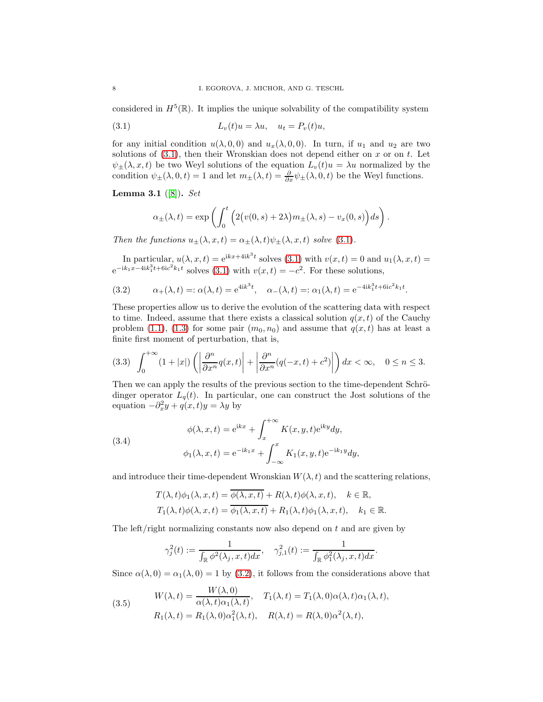considered in  $H^5(\mathbb{R})$ . It implies the unique solvability of the compatibility system

<span id="page-7-0"></span>(3.1) 
$$
L_v(t)u = \lambda u, \quad u_t = P_v(t)u,
$$

for any initial condition  $u(\lambda, 0, 0)$  and  $u_x(\lambda, 0, 0)$ . In turn, if  $u_1$  and  $u_2$  are two solutions of  $(3.1)$ , then their Wronskian does not depend either on x or on t. Let  $\psi_{\pm}(\lambda, x, t)$  be two Weyl solutions of the equation  $L_v(t)u = \lambda u$  normalized by the condition  $\psi_{\pm}(\lambda, 0, t) = 1$  and let  $m_{\pm}(\lambda, t) = \frac{\partial}{\partial x}\psi_{\pm}(\lambda, 0, t)$  be the Weyl functions.

**Lemma 3.1** ([\[8\]](#page-20-8)). Set

$$
\alpha_{\pm}(\lambda,t) = \exp\left(\int_0^t \left(2\big(v(0,s)+2\lambda\big)m_{\pm}(\lambda,s)-v_x(0,s)\right)ds\right).
$$

Then the functions  $u_{\pm}(\lambda, x, t) = \alpha_{\pm}(\lambda, t)\psi_{\pm}(\lambda, x, t)$  solve [\(3.1\)](#page-7-0).

In particular,  $u(\lambda, x, t) = e^{ikx + 4ik^3t}$  solves [\(3.1\)](#page-7-0) with  $v(x, t) = 0$  and  $u_1(\lambda, x, t) =$  $e^{-ik_1x-4ik_1^3t+6ic^2k_1t}$  solves [\(3.1\)](#page-7-0) with  $v(x,t) = -c^2$ . For these solutions,

<span id="page-7-1"></span>(3.2) 
$$
\alpha_{+}(\lambda, t) =: \alpha(\lambda, t) = e^{4ik^{3}t}, \quad \alpha_{-}(\lambda, t) =: \alpha_{1}(\lambda, t) = e^{-4ik_{1}^{3}t + 6ic^{2}k_{1}t}.
$$

These properties allow us to derive the evolution of the scattering data with respect to time. Indeed, assume that there exists a classical solution  $q(x, t)$  of the Cauchy problem [\(1.1\)](#page-1-0), [\(1.3\)](#page-1-2) for some pair  $(m_0, n_0)$  and assume that  $q(x, t)$  has at least a finite first moment of perturbation, that is,

<span id="page-7-2"></span>
$$
(3.3)\quad \int_0^{+\infty} (1+|x|) \left( \left| \frac{\partial^n}{\partial x^n} q(x,t) \right| + \left| \frac{\partial^n}{\partial x^n} (q(-x,t) + c^2) \right| \right) dx < \infty, \quad 0 \le n \le 3.
$$

Then we can apply the results of the previous section to the time-dependent Schrödinger operator  $L_q(t)$ . In particular, one can construct the Jost solutions of the equation  $-\partial_x^2 y + q(x, t)y = \lambda y$  by

(3.4)  

$$
\phi(\lambda, x, t) = e^{ikx} + \int_x^{+\infty} K(x, y, t) e^{iky} dy,
$$

$$
\phi_1(\lambda, x, t) = e^{-ik_1x} + \int_{-\infty}^x K_1(x, y, t) e^{-ik_1y} dy,
$$

and introduce their time-dependent Wronskian  $W(\lambda, t)$  and the scattering relations,

$$
T(\lambda, t)\phi_1(\lambda, x, t) = \overline{\phi(\lambda, x, t)} + R(\lambda, t)\phi(\lambda, x, t), \quad k \in \mathbb{R},
$$
  

$$
T_1(\lambda, t)\phi(\lambda, x, t) = \overline{\phi_1(\lambda, x, t)} + R_1(\lambda, t)\phi_1(\lambda, x, t), \quad k_1 \in \mathbb{R}.
$$

The left/right normalizing constants now also depend on t and are given by

$$
\gamma_j^2(t) := \frac{1}{\int_{\mathbb{R}} \phi^2(\lambda_j, x, t) dx}, \quad \gamma_{j,1}^2(t) := \frac{1}{\int_{\mathbb{R}} \phi_1^2(\lambda_j, x, t) dx}.
$$

Since  $\alpha(\lambda, 0) = \alpha_1(\lambda, 0) = 1$  by [\(3.2\)](#page-7-1), it follows from the considerations above that

<span id="page-7-3"></span>(3.5) 
$$
W(\lambda, t) = \frac{W(\lambda, 0)}{\alpha(\lambda, t)\alpha_1(\lambda, t)}, \quad T_1(\lambda, t) = T_1(\lambda, 0)\alpha(\lambda, t)\alpha_1(\lambda, t),
$$

$$
R_1(\lambda, t) = R_1(\lambda, 0)\alpha_1^2(\lambda, t), \quad R(\lambda, t) = R(\lambda, 0)\alpha^2(\lambda, t),
$$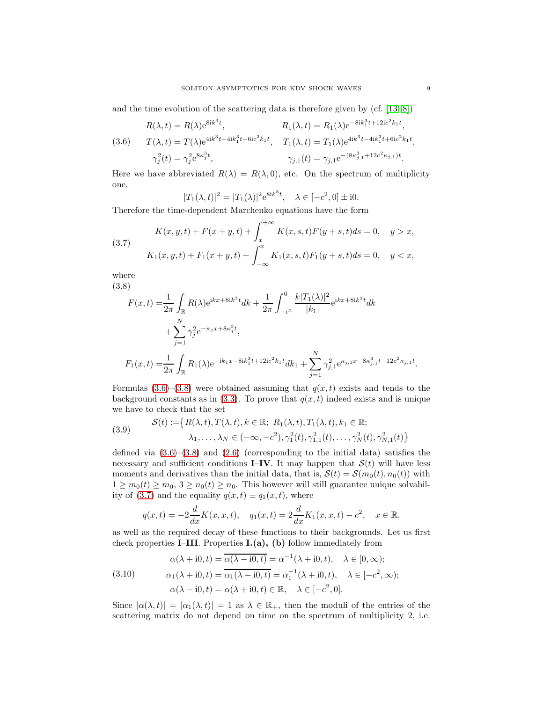and the time evolution of the scattering data is therefore given by (cf. [\[13,](#page-20-17) [8\]](#page-20-8))

<span id="page-8-0"></span>(3.6) 
$$
R(\lambda, t) = R(\lambda)e^{8ik^{3}t}, \qquad R_{1}(\lambda, t) = R_{1}(\lambda)e^{-8ik_{1}^{3}t + 12ic^{2}k_{1}t},
$$

$$
T(\lambda, t) = T(\lambda)e^{4ik^{3}t - 4ik_{1}^{3}t + 6ic^{2}k_{1}t}, \qquad T_{1}(\lambda, t) = T_{1}(\lambda)e^{4ik^{3}t - 4ik_{1}^{3}t + 6ic^{2}k_{1}t},
$$

$$
\gamma_{j}^{2}(t) = \gamma_{j}^{2}e^{8\kappa_{j}^{3}t}, \qquad \gamma_{j,1}(t) = \gamma_{j,1}e^{-(8\kappa_{j,1}^{3} + 12c^{2}\kappa_{j,1})t}.
$$

Here we have abbreviated  $R(\lambda) = R(\lambda, 0)$ , etc. On the spectrum of multiplicity one,

$$
|T_1(\lambda, t)|^2 = |T_1(\lambda)|^2 e^{8ik^3t}, \quad \lambda \in [-c^2, 0] \pm i0.
$$

Therefore the time-dependent Marchenko equations have the form

<span id="page-8-2"></span>(3.7) 
$$
K(x, y, t) + F(x + y, t) + \int_{x}^{+\infty} K(x, s, t)F(y + s, t)ds = 0, \quad y > x,
$$

$$
K_1(x, y, t) + F_1(x + y, t) + \int_{-\infty}^{x} K_1(x, s, t)F_1(y + s, t)ds = 0, \quad y < x,
$$

where (3.8)

<span id="page-8-1"></span>
$$
F(x,t) = \frac{1}{2\pi} \int_{\mathbb{R}} R(\lambda) e^{ikx + 8ik^3t} dk + \frac{1}{2\pi} \int_{-c^2}^0 \frac{k|T_1(\lambda)|^2}{|k_1|} e^{ikx + 8ik^3t} dk
$$
  
+ 
$$
\sum_{j=1}^N \gamma_j^2 e^{-\kappa_j x + 8\kappa_j^3 t},
$$

$$
F_1(x,t) = \frac{1}{2\pi} \int_{\mathbb{R}} R_1(\lambda) e^{-ik_1x - 8ik_1^3t + 12ic^2kt} dk_1 + \sum_{j=1}^N \gamma_{j,1}^2 e^{\kappa_{j,1}x - 8\kappa_{j,1}^3t - 12c^2\kappa_{j,1}t}.
$$

Formulas  $(3.6)$ – $(3.8)$  were obtained assuming that  $q(x, t)$  exists and tends to the background constants as in [\(3.3\)](#page-7-2). To prove that  $q(x, t)$  indeed exists and is unique we have to check that the set

(3.9) 
$$
\mathcal{S}(t) := \{ R(\lambda, t), T(\lambda, t), k \in \mathbb{R}; R_1(\lambda, t), T_1(\lambda, t), k_1 \in \mathbb{R};
$$

$$
\lambda_1, \dots, \lambda_N \in (-\infty, -c^2), \gamma_1^2(t), \gamma_{1,1}^2(t), \dots, \gamma_N^2(t), \gamma_{N,1}^2(t) \}
$$

defined via [\(3.6\)](#page-8-0)–[\(3.8\)](#page-8-1) and [\(2.6\)](#page-6-1) (corresponding to the initial data) satisfies the necessary and sufficient conditions **I–IV**. It may happen that  $S(t)$  will have less moments and derivatives than the initial data, that is,  $S(t) = S(m_0(t), n_0(t))$  with  $1 \geq m_0(t) \geq m_0$ ,  $3 \geq n_0(t) \geq n_0$ . This however will still guarantee unique solvabil-ity of [\(3.7\)](#page-8-2) and the equality  $q(x,t) \equiv q_1(x,t)$ , where

$$
q(x,t) = -2\frac{d}{dx}K(x,x,t), \quad q_1(x,t) = 2\frac{d}{dx}K_1(x,x,t) - c^2, \quad x \in \mathbb{R},
$$

as well as the required decay of these functions to their backgrounds. Let us first check properties **I–III**. Properties  $I(a)$ , (b) follow immediately from

<span id="page-8-3"></span>(3.10)  
\n
$$
\alpha(\lambda + i0, t) = \overline{\alpha(\lambda - i0, t)} = \alpha^{-1}(\lambda + i0, t), \quad \lambda \in [0, \infty);
$$
\n
$$
\alpha_1(\lambda + i0, t) = \overline{\alpha_1(\lambda - i0, t)} = \alpha_1^{-1}(\lambda + i0, t), \quad \lambda \in [-c^2, \infty);
$$
\n
$$
\alpha(\lambda - i0, t) = \alpha(\lambda + i0, t) \in \mathbb{R}, \quad \lambda \in [-c^2, 0].
$$

Since  $|\alpha(\lambda, t)| = |\alpha_1(\lambda, t)| = 1$  as  $\lambda \in \mathbb{R}_+$ , then the moduli of the entries of the scattering matrix do not depend on time on the spectrum of multiplicity 2, i.e.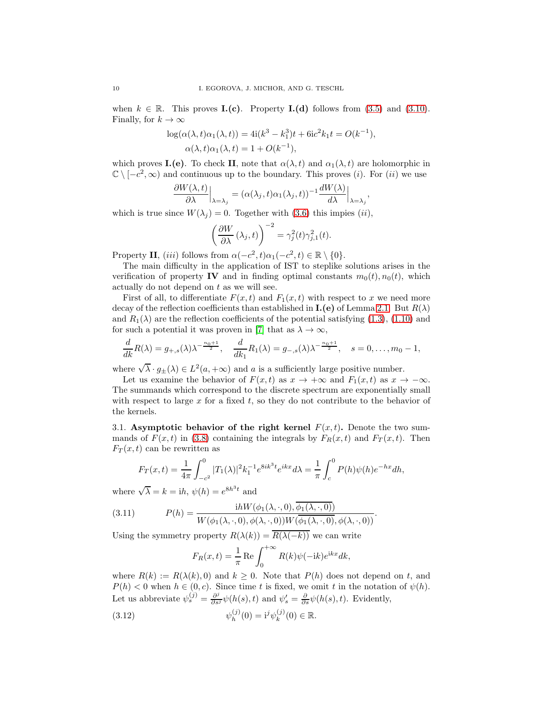when  $k \in \mathbb{R}$ . This proves **I.(c)**. Property **I.(d)** follows from [\(3.5\)](#page-7-3) and [\(3.10\)](#page-8-3). Finally, for  $k \to \infty$ 

$$
log(\alpha(\lambda, t)\alpha_1(\lambda, t)) = 4i(k^3 - k_1^3)t + 6ic^2k_1t = O(k^{-1}),
$$
  
 
$$
\alpha(\lambda, t)\alpha_1(\lambda, t) = 1 + O(k^{-1}),
$$

which proves **I.**(e). To check **II**, note that  $\alpha(\lambda, t)$  and  $\alpha_1(\lambda, t)$  are holomorphic in  $\mathbb{C} \setminus [-c^2, \infty)$  and continuous up to the boundary. This proves (*i*). For (*ii*) we use

$$
\frac{\partial W(\lambda,t)}{\partial \lambda}\Big|_{\lambda=\lambda_j}=(\alpha(\lambda_j,t)\alpha_1(\lambda_j,t))^{-1}\frac{dW(\lambda)}{d\lambda}\Big|_{\lambda=\lambda_j},
$$

which is true since  $W(\lambda_j) = 0$ . Together with [\(3.6\)](#page-8-0) this impies (ii),

$$
\left(\frac{\partial W}{\partial \lambda}(\lambda_j, t)\right)^{-2} = \gamma_j^2(t)\gamma_{j,1}^2(t).
$$

Property II, (iii) follows from  $\alpha(-c^2, t)\alpha_1(-c^2, t) \in \mathbb{R} \setminus \{0\}.$ 

The main difficulty in the application of IST to steplike solutions arises in the verification of property IV and in finding optimal constants  $m_0(t)$ ,  $n_0(t)$ , which actually do not depend on  $t$  as we will see.

First of all, to differentiate  $F(x,t)$  and  $F_1(x,t)$  with respect to x we need more decay of the reflection coefficients than established in  $\mathbf{I}.\mathbf{(e)}$  of Lemma [2.1.](#page-5-0) But  $R(\lambda)$ and  $R_1(\lambda)$  are the reflection coefficients of the potential satisfying [\(1.3\)](#page-1-2), [\(1.10\)](#page-3-2) and for such a potential it was proven in [\[7\]](#page-20-14) that as  $\lambda \to \infty$ ,

$$
\frac{d}{dk}R(\lambda)=g_{+,s}(\lambda)\lambda^{-\frac{n_0+1}{2}}, \quad \frac{d}{dk_1}R_1(\lambda)=g_{-,s}(\lambda)\lambda^{-\frac{n_0+1}{2}}, \quad s=0,\ldots,m_0-1,
$$

where  $\sqrt{\lambda} \cdot g_{\pm}(\lambda) \in L^2(a, +\infty)$  and a is a sufficiently large positive number.

Let us examine the behavior of  $F(x,t)$  as  $x \to +\infty$  and  $F_1(x,t)$  as  $x \to -\infty$ . The summands which correspond to the discrete spectrum are exponentially small with respect to large x for a fixed t, so they do not contribute to the behavior of the kernels.

3.1. Asymptotic behavior of the right kernel  $F(x, t)$ . Denote the two summands of  $F(x,t)$  in [\(3.8\)](#page-8-1) containing the integrals by  $F_R(x,t)$  and  $F_T(x,t)$ . Then  $F_T(x,t)$  can be rewritten as

$$
F_T(x,t) = \frac{1}{4\pi} \int_{-c^2}^0 |T_1(\lambda)|^2 k_1^{-1} e^{8ik^3t} e^{ikx} d\lambda = \frac{1}{\pi} \int_c^0 P(h)\psi(h)e^{-hx} dh,
$$

where  $\sqrt{\lambda} = k = ih$ ,  $\psi(h) = e^{8h^3t}$  and

(3.11) 
$$
P(h) = \frac{i h W(\phi_1(\lambda, \cdot, 0), \phi_1(\lambda, \cdot, 0))}{W(\phi_1(\lambda, \cdot, 0), \phi(\lambda, \cdot, 0)) W(\phi_1(\lambda, \cdot, 0), \phi(\lambda, \cdot, 0))}.
$$

Using the symmetry property  $R(\lambda(k)) = \overline{R(\lambda(-k))}$  we can write

<span id="page-9-1"></span><span id="page-9-0"></span>
$$
F_R(x,t) = \frac{1}{\pi} \operatorname{Re} \int_0^{+\infty} R(k)\psi(-ik)e^{ikx} dk,
$$

where  $R(k) := R(\lambda(k), 0)$  and  $k \geq 0$ . Note that  $P(h)$  does not depend on t, and  $P(h) < 0$  when  $h \in (0, c)$ . Since time t is fixed, we omit t in the notation of  $\psi(h)$ . Let us abbreviate  $\psi_s^{(j)} = \frac{\partial^j}{\partial s^j} \psi(h(s), t)$  and  $\psi_s' = \frac{\partial}{\partial s} \psi(h(s), t)$ . Evidently,

(3.12) 
$$
\psi_h^{(j)}(0) = i^j \psi_k^{(j)}(0) \in \mathbb{R}.
$$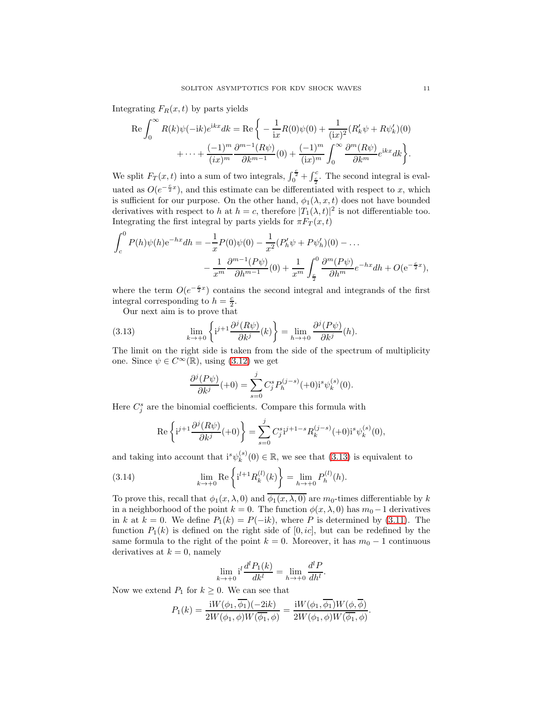Integrating  $F_R(x, t)$  by parts yields

$$
\operatorname{Re}\int_0^\infty R(k)\psi(-ik)e^{ikx}dk = \operatorname{Re}\left\{-\frac{1}{ix}R(0)\psi(0) + \frac{1}{(ix)^2}(R'_k\psi + R\psi'_k)(0)\right.+\cdots + \frac{(-1)^m}{(ix)^m}\frac{\partial^{m-1}(R\psi)}{\partial k^{m-1}}(0) + \frac{(-1)^m}{(ix)^m}\int_0^\infty \frac{\partial^m(R\psi)}{\partial k^m}e^{ikx}dk\right\}.
$$

We split  $F_T(x,t)$  into a sum of two integrals,  $\int_0^{\frac{c}{2}} + \int_{\frac{c}{2}}^c$ . The second integral is evaluated as  $O(e^{-\frac{c}{2}x})$ , and this estimate can be differentiated with respect to x, which is sufficient for our purpose. On the other hand,  $\phi_1(\lambda, x, t)$  does not have bounded derivatives with respect to h at  $h = c$ , therefore  $|T_1(\lambda, t)|^2$  is not differentiable too. Integrating the first integral by parts yields for  $\pi F_T(x,t)$ 

$$
\int_{c}^{0} P(h)\psi(h)e^{-hx}dh = -\frac{1}{x}P(0)\psi(0) - \frac{1}{x^{2}}(P'_{h}\psi + P\psi'_{h})(0) - \dots
$$

$$
-\frac{1}{x^{m}}\frac{\partial^{m-1}(P\psi)}{\partial h^{m-1}}(0) + \frac{1}{x^{m}}\int_{\frac{c}{x}}^{0} \frac{\partial^{m}(P\psi)}{\partial h^{m}}e^{-hx}dh + O(e^{-\frac{c}{2}x}),
$$

where the term  $O(e^{-\frac{c}{2}x})$  contains the second integral and integrands of the first integral corresponding to  $h = \frac{c}{2}$ .

Our next aim is to prove that

(3.13) 
$$
\lim_{k \to +0} \left\{ i^{j+1} \frac{\partial^j (R\psi)}{\partial k^j}(k) \right\} = \lim_{h \to +0} \frac{\partial^j (P\psi)}{\partial k^j}(h).
$$

The limit on the right side is taken from the side of the spectrum of multiplicity one. Since  $\psi \in C^{\infty}(\mathbb{R})$ , using [\(3.12\)](#page-9-0) we get

<span id="page-10-0"></span>
$$
\frac{\partial^{j}(P\psi)}{\partial k^{j}}(+0) = \sum_{s=0}^{j} C_{j}^{s} P_{h}^{(j-s)}(+0) \mathrm{i}^{s} \psi_{k}^{(s)}(0).
$$

Here  $C_j^s$  are the binomial coefficients. Compare this formula with

<span id="page-10-1"></span>
$$
\operatorname{Re}\left\{i^{j+1}\frac{\partial^{j}(R\psi)}{\partial k^{j}}(+0)\right\} = \sum_{s=0}^{j} C_{j}^{s} i^{j+1-s} R_{k}^{(j-s)}(+0) i^{s} \psi_{k}^{(s)}(0),
$$

and taking into account that  $i^s \psi_k^{(s)}$  $_k^{(s)}(0) \in \mathbb{R}$ , we see that  $(3.13)$  is equivalent to

(3.14) 
$$
\lim_{k \to +0} \text{Re}\left\{ i^{l+1} R_k^{(l)}(k) \right\} = \lim_{h \to +0} P_h^{(l)}(h).
$$

To prove this, recall that  $\phi_1(x,\lambda,0)$  and  $\overline{\phi_1(x,\lambda,0)}$  are  $m_0$ -times differentiable by k in a neighborhood of the point  $k = 0$ . The function  $\phi(x, \lambda, 0)$  has  $m_0 - 1$  derivatives in k at  $k = 0$ . We define  $P_1(k) = P(-ik)$ , where P is determined by [\(3.11\)](#page-9-1). The function  $P_1(k)$  is defined on the right side of [0, ic], but can be redefined by the same formula to the right of the point  $k = 0$ . Moreover, it has  $m_0 - 1$  continuous derivatives at  $k = 0$ , namely

$$
\lim_{k \to +0} \mathrm{i}^{l} \frac{d^{l} P_{1}(k)}{dk^{l}} = \lim_{h \to +0} \frac{d^{l} P}{dh^{l}}.
$$

Now we extend  $P_1$  for  $k \geq 0$ . We can see that

$$
P_1(k) = \frac{\mathrm{i}W(\phi_1, \overline{\phi_1})(-2\mathrm{i}k)}{2W(\phi_1, \phi)W(\overline{\phi_1}, \phi)} = \frac{\mathrm{i}W(\phi_1, \overline{\phi_1})W(\phi, \overline{\phi})}{2W(\phi_1, \phi)W(\overline{\phi_1}, \phi)}.
$$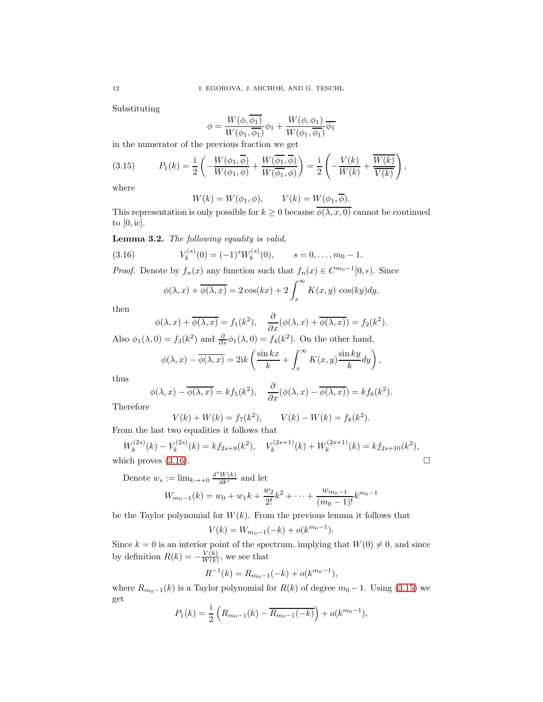Substituting

$$
\phi = \frac{W(\phi,\overline{\phi_1})}{W(\phi_1,\overline{\phi_1})}\phi_1 + \frac{W(\phi,\phi_1)}{W(\phi_1,\overline{\phi_1})}\overline{\phi_1}
$$

in the numerator of the previous fraction we get

(3.15) 
$$
P_1(k) = \frac{i}{2} \left( -\frac{W(\phi_1, \overline{\phi})}{W(\phi_1, \phi)} + \frac{W(\overline{\phi_1}, \overline{\phi})}{W(\overline{\phi_1}, \phi)} \right) = \frac{i}{2} \left( -\frac{V(k)}{W(k)} + \frac{\overline{W(k)}}{\overline{V(k)}} \right),
$$

where

<span id="page-11-1"></span>
$$
W(k) = W(\phi_1, \phi), \qquad V(k) = W(\phi_1, \overline{\phi}).
$$

This representation is only possible for  $k \geq 0$  because  $\overline{\phi(\lambda, x, 0)}$  cannot be continued to  $[0, \mathrm{i}c]$ .

Lemma 3.2. The following equality is valid,

(3.16) 
$$
V_k^{(s)}(0) = (-1)^s W_k^{(s)}(0), \qquad s = 0, \ldots, m_0 - 1.
$$

*Proof.* Denote by  $f_n(x)$  any function such that  $f_n(x) \in C^{m_0-1}[0, \epsilon)$ . Since

<span id="page-11-0"></span>
$$
\phi(\lambda, x) + \overline{\phi(\lambda, x)} = 2\cos(kx) + 2\int_x^{\infty} K(x, y) \cos(ky) dy,
$$

then

$$
\phi(\lambda, x) + \overline{\phi(\lambda, x)} = f_1(k^2), \quad \frac{\partial}{\partial x}(\phi(\lambda, x) + \overline{\phi(\lambda, x)}) = f_2(k^2).
$$

Also  $\phi_1(\lambda, 0) = f_3(k^2)$  and  $\frac{\partial}{\partial x}\phi_1(\lambda, 0) = f_4(k^2)$ . On the other hand,

$$
\phi(\lambda, x) - \overline{\phi(\lambda, x)} = 2ik \left( \frac{\sin kx}{k} + \int_x^{\infty} K(x, y) \frac{\sin ky}{k} dy \right),
$$

thus

$$
\phi(\lambda, x) - \overline{\phi(\lambda, x)} = k f_5(k^2), \quad \frac{\partial}{\partial x} (\phi(\lambda, x) - \overline{\phi(\lambda, x)}) = k f_6(k^2).
$$

Therefore

$$
V(k) + W(k) = f_7(k^2), \qquad V(k) - W(k) = f_8(k^2).
$$

From the last two equalities it follows that

$$
W_k^{(2s)}(k) - V_k^{(2s)}(k) = kf_{2s+9}(k^2), \quad V_k^{(2s+1)}(k) + W_k^{(2s+1)}(k) = kf_{2s+10}(k^2),
$$
  
which proves (3.16).

Denote  $w_s := \lim_{k \to \infty} \frac{d^s W(k)}{dk^s}$  and let

$$
W_{m_0-1}(k) = w_0 + w_1k + \frac{w_2}{2!}k^2 + \dots + \frac{w_{m_0-1}}{(m_0-1)!}k^{m_0-1}
$$

be the Taylor polynomial for  $W(k)$ . From the previous lemma it follows that

$$
V(k) = W_{m_0-1}(-k) + o(k^{m_0-1}).
$$

Since  $k = 0$  is an interior point of the spectrum, implying that  $W(0) \neq 0$ , and since by definition  $R(k) = -\frac{V(k)}{W(k)}$  $\frac{V(k)}{W(k)}$ , we see that

$$
R^{-1}(k) = R_{m_0-1}(-k) + o(k^{m_0-1}),
$$

where  $R_{m_0-1}(k)$  is a Taylor polynomial for  $R(k)$  of degree  $m_0-1$ . Using [\(3.15\)](#page-11-1) we get

$$
P_1(k) = \frac{1}{2} \left( R_{m_0 - 1}(k) - \overline{R_{m_0 - 1}(-k)} \right) + o(k^{m_0 - 1}),
$$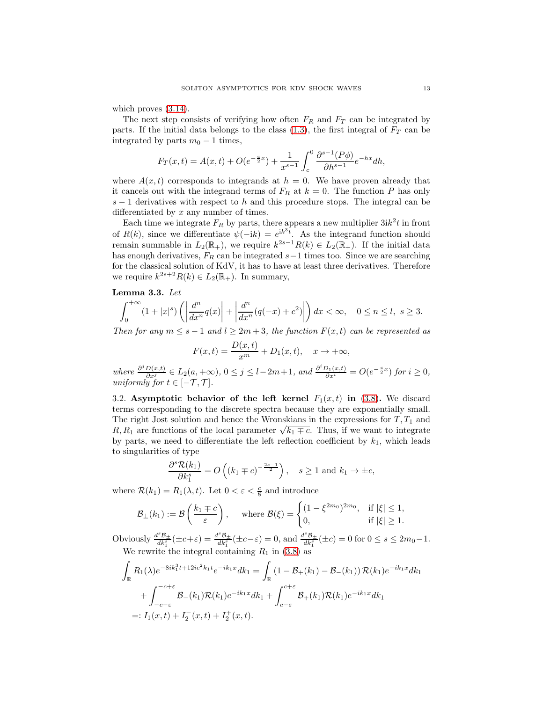which proves  $(3.14)$ .

The next step consists of verifying how often  $F_R$  and  $F_T$  can be integrated by parts. If the initial data belongs to the class  $(1.3)$ , the first integral of  $F_T$  can be integrated by parts  $m_0 - 1$  times,

$$
F_T(x,t) = A(x,t) + O(e^{-\frac{c}{2}x}) + \frac{1}{x^{s-1}} \int_c^0 \frac{\partial^{s-1}(P\phi)}{\partial h^{s-1}} e^{-hx} dh,
$$

where  $A(x, t)$  corresponds to integrands at  $h = 0$ . We have proven already that it cancels out with the integrand terms of  $F_R$  at  $k = 0$ . The function P has only  $s-1$  derivatives with respect to h and this procedure stops. The integral can be differentiated by x any number of times.

Each time we integrate  $F_R$  by parts, there appears a new multiplier  $3ik^2t$  in front of  $R(k)$ , since we differentiate  $\psi(-ik) = e^{ik^3t}$ . As the integrand function should remain summable in  $L_2(\mathbb{R}_+),$  we require  $k^{2s-1}R(k) \in L_2(\mathbb{R}_+).$  If the initial data has enough derivatives,  $F_R$  can be integrated  $s-1$  times too. Since we are searching for the classical solution of KdV, it has to have at least three derivatives. Therefore we require  $k^{2s+2}R(k) \in L_2(\mathbb{R}_+)$ . In summary,

## <span id="page-12-0"></span>Lemma 3.3. Let

$$
\int_0^{+\infty} (1+|x|^s) \left( \left| \frac{d^n}{dx^n} q(x) \right| + \left| \frac{d^n}{dx^n} (q(-x)+c^2) \right| \right) dx < \infty, \quad 0 \le n \le l, \ s \ge 3.
$$

Then for any  $m \leq s - 1$  and  $l \geq 2m + 3$ , the function  $F(x, t)$  can be represented as

$$
F(x,t) = \frac{D(x,t)}{x^m} + D_1(x,t), \quad x \to +\infty,
$$

where  $\frac{\partial^j D(x,t)}{\partial x^j} \in L_2(a,+\infty)$ ,  $0 \le j \le l-2m+1$ , and  $\frac{\partial^i D_1(x,t)}{\partial x^i} = O(e^{-\frac{c}{2}x})$  for  $i \ge 0$ , uniformly for  $t \in [-\mathcal{T}, \mathcal{T}]$ .

3.2. Asymptotic behavior of the left kernel  $F_1(x,t)$  in [\(3.8\)](#page-8-1). We discard terms corresponding to the discrete spectra because they are exponentially small. The right Jost solution and hence the Wronskians in the expressions for  $T, T_1$  and R,  $R_1$  are functions of the local parameter  $\sqrt{k_1 \mp c}$ . Thus, if we want to integrate by parts, we need to differentiate the left reflection coefficient by  $k_1$ , which leads to singularities of type

$$
\frac{\partial^s \mathcal{R}(k_1)}{\partial k_1^s} = O\left( (k_1 \mp c)^{-\frac{2s-1}{2}} \right), \quad s \ge 1 \text{ and } k_1 \rightarrow \pm c,
$$

where  $\mathcal{R}(k_1) = R_1(\lambda, t)$ . Let  $0 < \varepsilon < \frac{c}{8}$  and introduce

$$
\mathcal{B}_{\pm}(k_1) := \mathcal{B}\left(\frac{k_1 \mp c}{\varepsilon}\right), \quad \text{where } \mathcal{B}(\xi) = \begin{cases} (1 - \xi^{2m_0})^{2m_0}, & \text{if } |\xi| \le 1, \\ 0, & \text{if } |\xi| \ge 1. \end{cases}
$$

Obviously  $\frac{d^s B_{\pm}}{d k_1^s}(\pm c+\varepsilon) = \frac{d^s B_{\pm}}{d k_1^s}(\pm c-\varepsilon) = 0$ , and  $\frac{d^s B_{\pm}}{d k_1^s}(\pm c) = 0$  for  $0 \le s \le 2m_0-1$ . We rewrite the integral containing  $R_1$  in [\(3.8\)](#page-8-1) as

$$
\int_{\mathbb{R}} R_1(\lambda) e^{-8ik_1^3 t + 12ic^2 k_1 t} e^{-ik_1 x} dk_1 = \int_{\mathbb{R}} (1 - \mathcal{B}_+(k_1) - \mathcal{B}_-(k_1)) \mathcal{R}(k_1) e^{-ik_1 x} dk_1 \n+ \int_{-c-\varepsilon}^{-c+\varepsilon} \mathcal{B}_-(k_1) \mathcal{R}(k_1) e^{-ik_1 x} dk_1 + \int_{c-\varepsilon}^{c+\varepsilon} \mathcal{B}_+(k_1) \mathcal{R}(k_1) e^{-ik_1 x} dk_1 \n=: I_1(x, t) + I_2^-(x, t) + I_2^+(x, t).
$$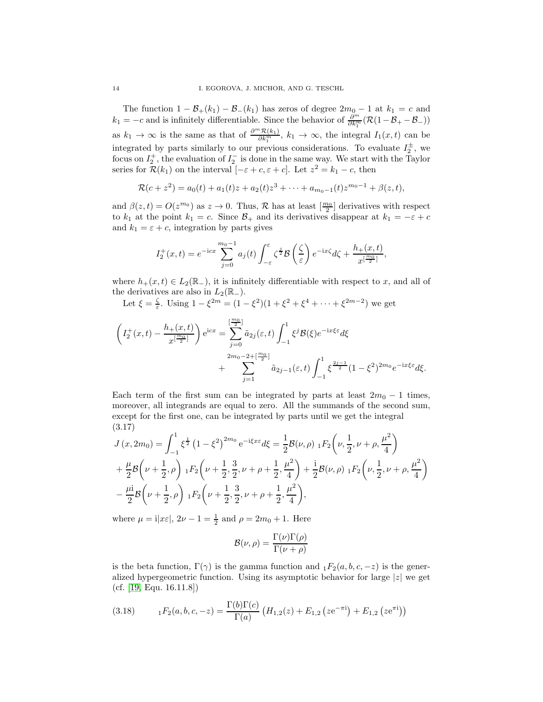The function  $1 - \mathcal{B}_+(k_1) - \mathcal{B}_-(k_1)$  has zeros of degree  $2m_0 - 1$  at  $k_1 = c$  and  $k_1 = -c$  and is infinitely differentiable. Since the behavior of  $\frac{\partial^m}{\partial k_1^m}(\mathcal{R}(1-\mathcal{B}_+ - \mathcal{B}_-))$ as  $k_1 \to \infty$  is the same as that of  $\frac{\partial^m \mathcal{R}(k_1)}{\partial k_1^m}$ ,  $k_1 \to \infty$ , the integral  $I_1(x,t)$  can be integrated by parts similarly to our previous considerations. To evaluate  $I_2^{\pm}$ , we focus on  $I_2^+$ , the evaluation of  $I_2^-$  is done in the same way. We start with the Taylor series for  $\mathcal{R}(k_1)$  on the interval  $[-\varepsilon + c, \varepsilon + c]$ . Let  $z^2 = k_1 - c$ , then

$$
\mathcal{R}(c+z^2) = a_0(t) + a_1(t)z + a_2(t)z^3 + \cdots + a_{m_0-1}(t)z^{m_0-1} + \beta(z,t),
$$

and  $\beta(z,t) = O(z^{m_0})$  as  $z \to 0$ . Thus,  $\mathcal{R}$  has at least  $\left[\frac{m_0}{2}\right]$  derivatives with respect to  $k_1$  at the point  $k_1 = c$ . Since  $\mathcal{B}_+$  and its derivatives disappear at  $k_1 = -\varepsilon + c$ and  $k_1 = \varepsilon + c$ , integration by parts gives

$$
I_2^+(x,t) = e^{-icx} \sum_{j=0}^{m_0-1} a_j(t) \int_{-\varepsilon}^{\varepsilon} \zeta^{\frac{j}{2}} \mathcal{B}\left(\frac{\zeta}{\varepsilon}\right) e^{-ix\zeta} d\zeta + \frac{h_+(x,t)}{x^{\lfloor \frac{m_0}{2} \rfloor}},
$$

where  $h_+(x, t) \in L_2(\mathbb{R}_-)$ , it is infinitely differentiable with respect to x, and all of the derivatives are also in  $L_2(\mathbb{R}_-)$ .

Let  $\xi = \frac{\zeta}{\varepsilon}$ . Using  $1 - \xi^{2m} = (1 - \xi^2)(1 + \xi^2 + \xi^4 + \dots + \xi^{2m-2})$  we get

$$
\left(I_2^+(x,t) - \frac{h_+(x,t)}{x^{\lfloor \frac{m_0}{2} \rfloor}}\right) e^{icx} = \sum_{j=0}^{\lfloor \frac{m_0}{2} \rfloor} \tilde{a}_{2j}(\varepsilon,t) \int_{-1}^1 \xi^j \mathcal{B}(\xi) e^{-ix\xi\varepsilon} d\xi + \sum_{j=1}^{2m_0 - 2 + \lfloor \frac{m_0}{2} \rfloor} \tilde{a}_{2j-1}(\varepsilon,t) \int_{-1}^1 \xi^{\frac{2j-1}{2}} (1 - \xi^2)^{2m_0} e^{-ix\xi\varepsilon} d\xi.
$$

Each term of the first sum can be integrated by parts at least  $2m_0 - 1$  times, moreover, all integrands are equal to zero. All the summands of the second sum, except for the first one, can be integrated by parts until we get the integral (3.17)

<span id="page-13-0"></span>
$$
J(x, 2m_0) = \int_{-1}^{1} \xi^{\frac{1}{2}} (1 - \xi^2)^{2m_0} e^{-i\xi x \xi} d\xi = \frac{1}{2} \mathcal{B}(\nu, \rho) \, {}_1F_2 \left(\nu, \frac{1}{2}, \nu + \rho, \frac{\mu^2}{4}\right) + \frac{\mu}{2} \mathcal{B} \left(\nu + \frac{1}{2}, \rho\right) {}_1F_2 \left(\nu + \frac{1}{2}, \frac{3}{2}, \nu + \rho + \frac{1}{2}, \frac{\mu^2}{4}\right) + \frac{i}{2} \mathcal{B}(\nu, \rho) {}_1F_2 \left(\nu, \frac{1}{2}, \nu + \rho, \frac{\mu^2}{4}\right) - \frac{\mu i}{2} \mathcal{B} \left(\nu + \frac{1}{2}, \rho\right) {}_1F_2 \left(\nu + \frac{1}{2}, \frac{3}{2}, \nu + \rho + \frac{1}{2}, \frac{\mu^2}{4}\right),
$$

where  $\mu = \mathrm{i}|x\varepsilon|$ ,  $2\nu - 1 = \frac{1}{2}$  and  $\rho = 2m_0 + 1$ . Here

$$
\mathcal{B}(\nu,\rho) = \frac{\Gamma(\nu)\Gamma(\rho)}{\Gamma(\nu+\rho)}
$$

is the beta function,  $\Gamma(\gamma)$  is the gamma function and  $_1F_2(a, b, c, -z)$  is the generalized hypergeometric function. Using its asymptotic behavior for large  $|z|$  we get (cf. [\[19,](#page-20-18) Equ. 16.11.8])

<span id="page-13-1"></span>(3.18) 
$$
{}_{1}F_{2}(a,b,c,-z) = \frac{\Gamma(b)\Gamma(c)}{\Gamma(a)} \left( H_{1,2}(z) + E_{1,2} \left( z e^{-\pi i} \right) + E_{1,2} \left( z e^{\pi i} \right) \right)
$$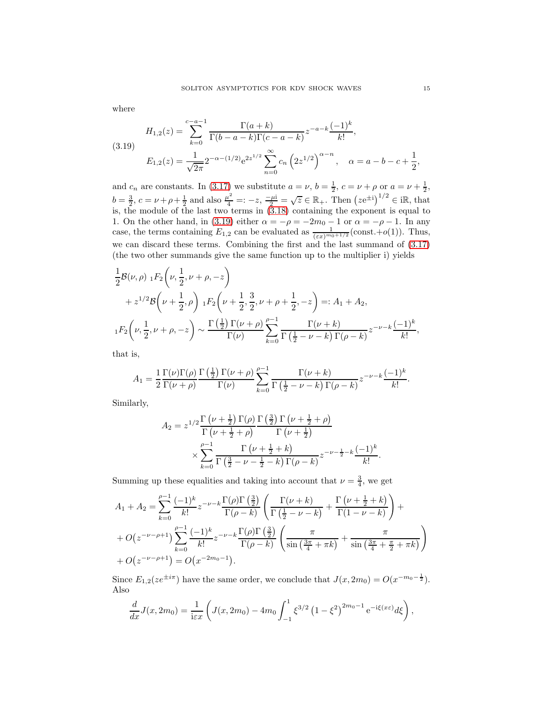<span id="page-14-0"></span>(3.19) 
$$
H_{1,2}(z) = \sum_{k=0}^{c-a-1} \frac{\Gamma(a+k)}{\Gamma(b-a-k)\Gamma(c-a-k)} z^{-a-k} \frac{(-1)^k}{k!},
$$

$$
E_{1,2}(z) = \frac{1}{\sqrt{2\pi}} 2^{-\alpha - (1/2)} e^{2z^{1/2}} \sum_{n=0}^{\infty} c_n \left(2z^{1/2}\right)^{\alpha - n}, \quad \alpha = a - b - c + \frac{1}{2}
$$

and  $c_n$  are constants. In [\(3.17\)](#page-13-0) we substitute  $a = \nu$ ,  $b = \frac{1}{2}$ ,  $c = \nu + \rho$  or  $a = \nu + \frac{1}{2}$ ,  $b = \frac{3}{2}, c = \nu + \rho + \frac{1}{2}$  and also  $\frac{\mu^2}{4} =: -z, \frac{-\mu i}{2} = \sqrt{z} \in \mathbb{R}_+$ . Then  $(ze^{\pm i})^{1/2} \in i\mathbb{R}$ , that is, the module of the last two terms in [\(3.18\)](#page-13-1) containing the exponent is equal to 1. On the other hand, in [\(3.19\)](#page-14-0) either  $\alpha = -\rho = -2m_0 - 1$  or  $\alpha = -\rho - 1$ . In any case, the terms containing  $E_{1,2}$  can be evaluated as  $\frac{1}{(\varepsilon x)^{m_0+1/2}}$  (const.+o(1)). Thus, we can discard these terms. Combining the first and the last summand of [\(3.17\)](#page-13-0) (the two other summands give the same function up to the multiplier i) yields

$$
\frac{1}{2}\mathcal{B}(\nu,\rho) \, {}_{1}F_{2}\left(\nu,\frac{1}{2},\nu+\rho,-z\right) \n+ z^{1/2} \mathcal{B}\left(\nu+\frac{1}{2},\rho\right) {}_{1}F_{2}\left(\nu+\frac{1}{2},\frac{3}{2},\nu+\rho+\frac{1}{2},-z\right) =: A_{1} + A_{2},
$$
\n
$$
{}_{1}F_{2}\left(\nu,\frac{1}{2},\nu+\rho,-z\right) \sim \frac{\Gamma\left(\frac{1}{2}\right)\Gamma(\nu+\rho)}{\Gamma(\nu)} \sum_{k=0}^{\rho-1} \frac{\Gamma(\nu+k)}{\Gamma\left(\frac{1}{2}-\nu-k\right)\Gamma(\rho-k)} z^{-\nu-k} \frac{(-1)^{k}}{k!},
$$

that is,

$$
A_1 = \frac{1}{2} \frac{\Gamma(\nu)\Gamma(\rho)}{\Gamma(\nu+\rho)} \frac{\Gamma(\frac{1}{2})\Gamma(\nu+\rho)}{\Gamma(\nu)} \sum_{k=0}^{\rho-1} \frac{\Gamma(\nu+k)}{\Gamma(\frac{1}{2}-\nu-k)\Gamma(\rho-k)} z^{-\nu-k} \frac{(-1)^k}{k!}.
$$

Similarly,

$$
A_2 = z^{1/2} \frac{\Gamma\left(\nu + \frac{1}{2}\right) \Gamma(\rho)}{\Gamma\left(\nu + \frac{1}{2} + \rho\right)} \frac{\Gamma\left(\frac{3}{2}\right) \Gamma\left(\nu + \frac{1}{2} + \rho\right)}{\Gamma\left(\nu + \frac{1}{2}\right)} \times \sum_{k=0}^{\rho-1} \frac{\Gamma\left(\nu + \frac{1}{2} + k\right)}{\Gamma\left(\frac{3}{2} - \nu - \frac{1}{2} - k\right) \Gamma(\rho - k)} z^{-\nu - \frac{1}{2} - k} \frac{(-1)^k}{k!}.
$$

Summing up these equalities and taking into account that  $\nu = \frac{3}{4}$ , we get

$$
A_1 + A_2 = \sum_{k=0}^{\rho-1} \frac{(-1)^k}{k!} z^{-\nu-k} \frac{\Gamma(\rho)\Gamma(\frac{3}{2})}{\Gamma(\rho-k)} \left( \frac{\Gamma(\nu+k)}{\Gamma(\frac{1}{2}-\nu-k)} + \frac{\Gamma(\nu+\frac{1}{2}+k)}{\Gamma(1-\nu-k)} \right) + O(z^{-\nu-\rho+1}) \sum_{k=0}^{\rho-1} \frac{(-1)^k}{k!} z^{-\nu-k} \frac{\Gamma(\rho)\Gamma(\frac{3}{2})}{\Gamma(\rho-k)} \left( \frac{\pi}{\sin\left(\frac{3\pi}{4}+\pi k\right)} + \frac{\pi}{\sin\left(\frac{3\pi}{4}+\frac{\pi}{2}+\pi k\right)} \right) + O(z^{-\nu-\rho+1}) = O(z^{-2m_0-1}).
$$

Since  $E_{1,2}(ze^{\pm i\pi})$  have the same order, we conclude that  $J(x, 2m_0) = O(x^{-m_0-\frac{1}{2}})$ . Also

$$
\frac{d}{dx}J(x,2m_0) = \frac{1}{i\epsilon x}\left(J(x,2m_0) - 4m_0 \int_{-1}^1 \xi^{3/2} (1-\xi^2)^{2m_0-1} e^{-i\xi(x\epsilon)} d\xi\right),
$$

,

where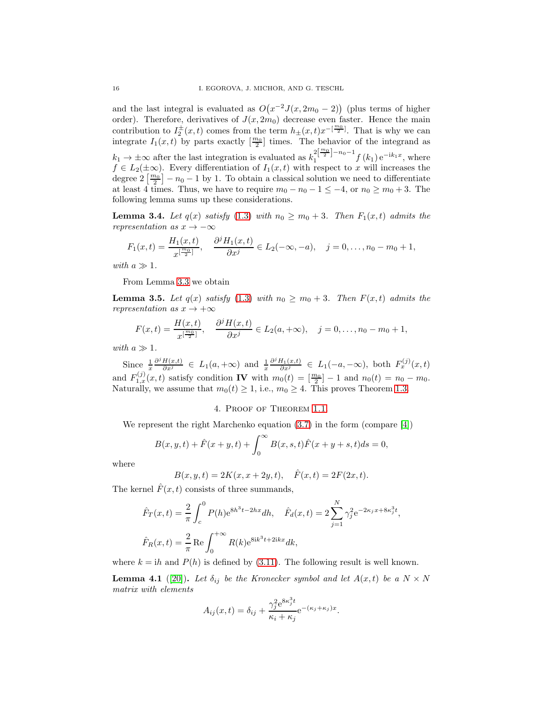and the last integral is evaluated as  $O(x^{-2}J(x, 2m_0-2))$  (plus terms of higher order). Therefore, derivatives of  $J(x, 2m_0)$  decrease even faster. Hence the main contribution to  $I_2^{\pm}(x,t)$  comes from the term  $h_{\pm}(x,t)x^{-\left[\frac{m_0}{2}\right]}$ . That is why we can integrate  $I_1(x,t)$  by parts exactly  $\left[\frac{m_0}{2}\right]$  times. The behavior of the integrand as  $k_1 \to \pm \infty$  after the last integration is evaluated as  $k_1^{2\left[\frac{m_0}{2}\right]-n_0-1} f(k_1) e^{-ik_1x}$ , where  $f \in L_2(\pm \infty)$ . Every differentiation of  $I_1(x,t)$  with respect to x will increases the degree  $2\left[\frac{m_0}{2}\right] - n_0 - 1$  by 1. To obtain a classical solution we need to differentiate at least 4 times. Thus, we have to require  $m_0 - n_0 - 1 \le -4$ , or  $n_0 \ge m_0 + 3$ . The following lemma sums up these considerations.

**Lemma 3.4.** Let  $q(x)$  satisfy [\(1.3\)](#page-1-2) with  $n_0 \geq m_0 + 3$ . Then  $F_1(x,t)$  admits the representation as  $x \to -\infty$ 

$$
F_1(x,t) = \frac{H_1(x,t)}{x^{\lfloor \frac{m_0}{2} \rfloor}}, \quad \frac{\partial^j H_1(x,t)}{\partial x^j} \in L_2(-\infty, -a), \quad j = 0, \ldots, n_0 - m_0 + 1,
$$

with  $a \gg 1$ .

From Lemma [3.3](#page-12-0) we obtain

**Lemma 3.5.** Let  $q(x)$  satisfy [\(1.3\)](#page-1-2) with  $n_0 \geq m_0 + 3$ . Then  $F(x,t)$  admits the representation as  $x \to +\infty$ 

$$
F(x,t) = \frac{H(x,t)}{x^{\lfloor \frac{m_0}{2} \rfloor}}, \quad \frac{\partial^j H(x,t)}{\partial x^j} \in L_2(a,+\infty), \quad j = 0,\ldots, n_0 - m_0 + 1,
$$

with  $a \gg 1$ .

Since  $\frac{1}{x}$  $\frac{\partial^j H(x,t)}{\partial x^j} \in L_1(a,+\infty)$  and  $\frac{1}{x}$  $\frac{\partial^j H_1(x,t)}{\partial x^j} \in L_1(-a,-\infty)$ , both  $F_x^{(j)}(x,t)$ and  $F_{1,x}^{(j)}(x,t)$  satisfy condition **IV** with  $m_0(t) = \frac{m_0}{2} - 1$  and  $n_0(t) = n_0 - m_0$ . Naturally, we assume that  $m_0(t) \geq 1$ , i.e.,  $m_0 \geq 4$ . This proves Theorem [1.3.](#page-3-0)

# 4. Proof of Theorem [1.1.](#page-1-3)

We represent the right Marchenko equation [\(3.7\)](#page-8-2) in the form (compare [\[4\]](#page-20-11))

$$
B(x, y, t) + \hat{F}(x + y, t) + \int_0^\infty B(x, s, t)\hat{F}(x + y + s, t)ds = 0,
$$

where

$$
B(x, y, t) = 2K(x, x + 2y, t), \quad \hat{F}(x, t) = 2F(2x, t).
$$

The kernel  $\hat{F}(x,t)$  consists of three summands,

$$
\hat{F}_T(x,t) = \frac{2}{\pi} \int_c^0 P(h)e^{8h^3t - 2hx} dh, \quad \hat{F}_d(x,t) = 2 \sum_{j=1}^N \gamma_j^2 e^{-2\kappa_j x + 8\kappa_j^3 t},
$$
\n
$$
\hat{F}_R(x,t) = \frac{2}{\pi} \text{Re} \int_0^{+\infty} R(k)e^{8ik^3t + 2ikx} dk,
$$

where  $k = ih$  and  $P(h)$  is defined by [\(3.11\)](#page-9-1). The following result is well known.

<span id="page-15-0"></span>**Lemma 4.1** ([\[20\]](#page-20-19)). Let  $\delta_{ij}$  be the Kronecker symbol and let  $A(x,t)$  be a  $N \times N$ matrix with elements

$$
A_{ij}(x,t) = \delta_{ij} + \frac{\gamma_j^2 e^{8\kappa_j^3 t}}{\kappa_i + \kappa_j} e^{-(\kappa_j + \kappa_j)x}.
$$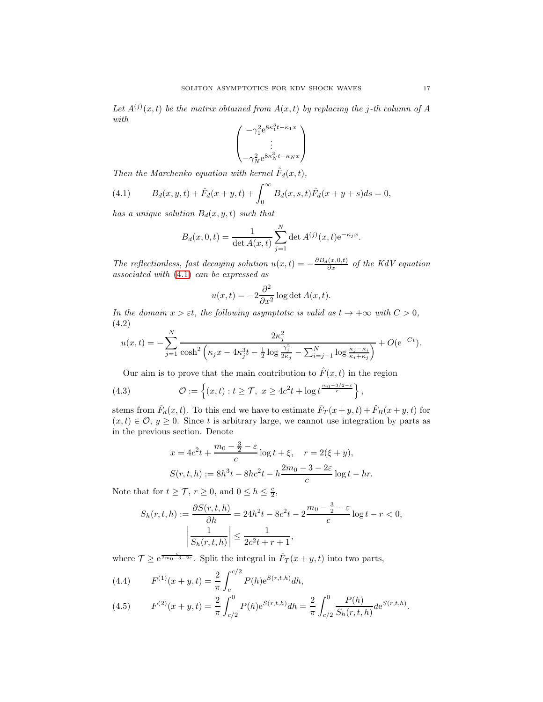Let  $A^{(j)}(x,t)$  be the matrix obtained from  $A(x,t)$  by replacing the j-th column of A with

$$
\begin{pmatrix} -\gamma_1^2 e^{8\kappa_1^3 t - \kappa_1 x} \\ \vdots \\ -\gamma_N^2 e^{8\kappa_N^3 t - \kappa_N x} \end{pmatrix}
$$

Then the Marchenko equation with kernel  $\hat{F}_d(x,t)$ ,

<span id="page-16-0"></span>(4.1) 
$$
B_d(x, y, t) + \hat{F}_d(x + y, t) + \int_0^\infty B_d(x, s, t) \hat{F}_d(x + y + s) ds = 0,
$$

has a unique solution  $B_d(x, y, t)$  such that

$$
B_d(x, 0, t) = \frac{1}{\det A(x, t)} \sum_{j=1}^{N} \det A^{(j)}(x, t) e^{-\kappa_j x}.
$$

The reflectionless, fast decaying solution  $u(x,t) = -\frac{\partial B_d(x,0,t)}{\partial x}$  of the KdV equation associated with [\(4.1\)](#page-16-0) can be expressed as

$$
u(x,t) = -2\frac{\partial^2}{\partial x^2} \log \det A(x,t).
$$

In the domain  $x > \varepsilon t$ , the following asymptotic is valid as  $t \to +\infty$  with  $C > 0$ , (4.2)

<span id="page-16-2"></span>
$$
u(x,t) = -\sum_{j=1}^{N} \frac{2\kappa_j^2}{\cosh^2\left(\kappa_j x - 4\kappa_j^3 t - \frac{1}{2}\log\frac{\gamma_j^2}{2\kappa_j} - \sum_{i=j+1}^{N}\log\frac{\kappa_j - \kappa_i}{\kappa_i + \kappa_j}\right)} + O(e^{-Ct}).
$$

Our aim is to prove that the main contribution to  $\hat{F}(x,t)$  in the region

(4.3) 
$$
\mathcal{O} := \left\{ (x, t) : t \geq \mathcal{T}, \ x \geq 4c^2 t + \log t^{\frac{m_0 - 3/2 - \varepsilon}{c}} \right\},
$$

stems from  $\hat{F}_d(x,t)$ . To this end we have to estimate  $\hat{F}_T(x+y,t) + \hat{F}_R(x+y,t)$  for  $(x, t) \in \mathcal{O}, y \geq 0$ . Since t is arbitrary large, we cannot use integration by parts as in the previous section. Denote

$$
x = 4c^{2}t + \frac{m_{0} - \frac{3}{2} - \varepsilon}{c} \log t + \xi, \quad r = 2(\xi + y),
$$
  

$$
S(r, t, h) := 8h^{3}t - 8hc^{2}t - h\frac{2m_{0} - 3 - 2\varepsilon}{c} \log t - hr.
$$

Note that for  $t \geq \mathcal{T}$ ,  $r \geq 0$ , and  $0 \leq h \leq \frac{c}{2}$ ,

$$
S_h(r, t, h) := \frac{\partial S(r, t, h)}{\partial h} = 24h^2t - 8c^2t - 2\frac{m_0 - \frac{3}{2} - \varepsilon}{c}\log t - r < 0,
$$
\n
$$
\left|\frac{1}{S_h(r, t, h)}\right| \le \frac{1}{2c^2t + r + 1},
$$

where  $\mathcal{T} \ge e^{\frac{c}{2m_0-3-2\varepsilon}}$ . Split the integral in  $\hat{F}_T(x+y,t)$  into two parts,

<span id="page-16-1"></span>(4.4) 
$$
F^{(1)}(x+y,t) = \frac{2}{\pi} \int_{c}^{c/2} P(h)e^{S(r,t,h)}dh,
$$

(4.5) 
$$
F^{(2)}(x+y,t) = \frac{2}{\pi} \int_{c/2}^{0} P(h)e^{S(r,t,h)}dh = \frac{2}{\pi} \int_{c/2}^{0} \frac{P(h)}{S_h(r,t,h)}de^{S(r,t,h)}.
$$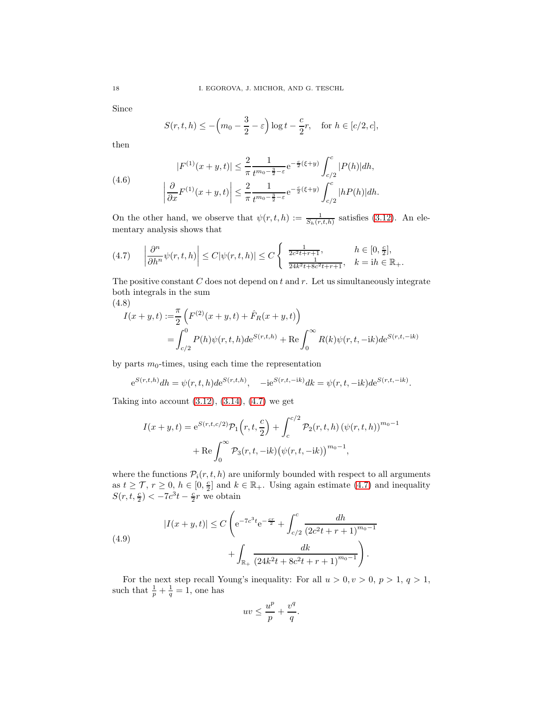Since

$$
S(r, t, h) \le -\left(m_0 - \frac{3}{2} - \varepsilon\right) \log t - \frac{c}{2}r, \quad \text{for } h \in [c/2, c],
$$

then

<span id="page-17-3"></span>(4.6) 
$$
|F^{(1)}(x+y,t)| \leq \frac{2}{\pi} \frac{1}{t^{m_0 - \frac{3}{2} - \varepsilon}} e^{-\frac{c}{2}(\xi + y)} \int_{c/2}^{c} |P(h)| dh,
$$

$$
\left| \frac{\partial}{\partial x} F^{(1)}(x+y,t) \right| \leq \frac{2}{\pi} \frac{1}{t^{m_0 - \frac{3}{2} - \varepsilon}} e^{-\frac{c}{2}(\xi + y)} \int_{c/2}^{c} |hP(h)| dh.
$$

On the other hand, we observe that  $\psi(r,t,h) := \frac{1}{S_h(r,t,h)}$  satisfies [\(3.12\)](#page-9-0). An elementary analysis shows that

<span id="page-17-0"></span>
$$
(4.7) \quad \left|\frac{\partial^n}{\partial h^n}\psi(r,t,h)\right| \le C|\psi(r,t,h)| \le C\left\{\begin{array}{ll} \frac{1}{2c^2t+r+1}, & h \in [0,\frac{c}{2}],\\ \frac{1}{24k^2t+8c^2t+r+1}, & k = ih \in \mathbb{R}_+. \end{array}\right.
$$

The positive constant  $C$  does not depend on  $t$  and  $r$ . Let us simultaneously integrate both integrals in the sum

(4.8)

<span id="page-17-2"></span>
$$
I(x + y, t) := \frac{\pi}{2} \left( F^{(2)}(x + y, t) + \hat{F}_R(x + y, t) \right)
$$
  
= 
$$
\int_{c/2}^0 P(h)\psi(r, t, h)de^{S(r, t, h)} + \text{Re}\int_0^\infty R(k)\psi(r, t, -ik)de^{S(r, t, -ik)}
$$

by parts  $m_0$ -times, using each time the representation

$$
e^{S(r,t,h)}dh = \psi(r,t,h)de^{S(r,t,h)},
$$
 - $ie^{S(r,t,-ik)}dk = \psi(r,t,-ik)de^{S(r,t,-ik)}.$ 

Taking into account  $(3.12), (3.14), (4.7)$  $(3.12), (3.14), (4.7)$  $(3.12), (3.14), (4.7)$  $(3.12), (3.14), (4.7)$  we get

$$
I(x + y, t) = e^{S(r, t, c/2)} \mathcal{P}_1(r, t, \frac{c}{2}) + \int_c^{c/2} \mathcal{P}_2(r, t, h) (\psi(r, t, h))^{m_0 - 1} + \text{Re} \int_0^{\infty} \mathcal{P}_3(r, t, -ik) (\psi(r, t, -ik))^{m_0 - 1},
$$

where the functions  $P_i(r, t, h)$  are uniformly bounded with respect to all arguments as  $t \geq \mathcal{T}$ ,  $r \geq 0$ ,  $h \in [0, \frac{\varepsilon}{2}]$  and  $k \in \mathbb{R}_+$ . Using again estimate [\(4.7\)](#page-17-0) and inequality  $S(r, t, \frac{c}{2}) < -7c^3t - \frac{c}{2}r$  we obtain

<span id="page-17-1"></span>(4.9)  

$$
|I(x+y,t)| \le C \left( e^{-7c^3t} e^{-\frac{cr}{2}} + \int_{c/2}^c \frac{dh}{(2c^2t + r + 1)^{m_0 - 1}} + \int_{\mathbb{R}_+} \frac{dk}{(24k^2t + 8c^2t + r + 1)^{m_0 - 1}} \right).
$$

For the next step recall Young's inequality: For all  $u > 0, v > 0, p > 1, q > 1$ , such that  $\frac{1}{p} + \frac{1}{q} = 1$ , one has

$$
uv \le \frac{u^p}{p} + \frac{v^q}{q}.
$$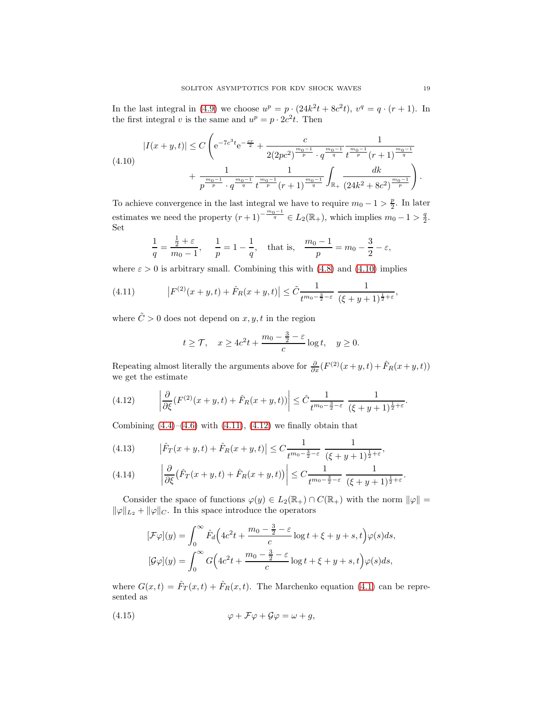In the last integral in [\(4.9\)](#page-17-1) we choose  $u^p = p \cdot (24k^2t + 8c^2t)$ ,  $v^q = q \cdot (r+1)$ . In the first integral v is the same and  $u^p = p \cdot 2c^2t$ . Then

<span id="page-18-0"></span>
$$
|I(x+y,t)| \le C \left( e^{-7c^3 t} e^{-\frac{cr}{2}} + \frac{c}{2(2pc^2)^{\frac{m_0-1}{p}} \cdot q^{\frac{m_0-1}{q}} t^{\frac{m_0-1}{p}} (r+1)^{\frac{m_0-1}{q}}} + \frac{1}{p^{\frac{m_0-1}{p}} \cdot q^{\frac{m_0-1}{q}} t^{\frac{m_0-1}{p}} (r+1)^{\frac{m_0-1}{q}}} \frac{1}{t^{\frac{m_0-1}{p}} (r+1)^{\frac{m_0-1}{q}}} \int_{\mathbb{R}_+} \frac{dk}{(24k^2 + 8c^2)^{\frac{m_0-1}{p}}} \right).
$$

To achieve convergence in the last integral we have to require  $m_0 - 1 > \frac{p}{2}$ . In later estimates we need the property  $(r+1)^{-\frac{m_0-1}{q}} \in L_2(\mathbb{R}_+),$  which implies  $m_0-1 > \frac{q}{2}.$ Set

$$
\frac{1}{q} = \frac{\frac{1}{2} + \varepsilon}{m_0 - 1}, \quad \frac{1}{p} = 1 - \frac{1}{q}, \text{ that is, } \frac{m_0 - 1}{p} = m_0 - \frac{3}{2} - \varepsilon,
$$

where  $\varepsilon > 0$  is arbitrary small. Combining this with [\(4.8\)](#page-17-2) and [\(4.10\)](#page-18-0) implies

(4.11) 
$$
\left| F^{(2)}(x+y,t) + \hat{F}_R(x+y,t) \right| \leq \tilde{C} \frac{1}{t^{m_0 - \frac{3}{2} - \varepsilon}} \frac{1}{(\xi + y + 1)^{\frac{1}{2} + \varepsilon}},
$$

where  $\tilde{C} > 0$  does not depend on x, y, t in the region

<span id="page-18-1"></span>
$$
t \ge \mathcal{T}
$$
,  $x \ge 4c^2t + \frac{m_0 - \frac{3}{2} - \varepsilon}{c} \log t$ ,  $y \ge 0$ .

Repeating almost literally the arguments above for  $\frac{\partial}{\partial x}(F^{(2)}(x+y,t)+\hat{F}_R(x+y,t))$ we get the estimate

<span id="page-18-2"></span>(4.12) 
$$
\left| \frac{\partial}{\partial \xi} (F^{(2)}(x+y,t) + \hat{F}_R(x+y,t)) \right| \leq \hat{C} \frac{1}{t^{m_0 - \frac{3}{2} - \varepsilon}} \frac{1}{(\xi + y + 1)^{\frac{1}{2} + \varepsilon}}
$$

Combining  $(4.4)$ – $(4.6)$  with  $(4.11)$ ,  $(4.12)$  we finally obtain that

<span id="page-18-3"></span>(4.13) 
$$
|\hat{F}_T(x+y,t) + \hat{F}_R(x+y,t)| \leq C \frac{1}{t^{m_0 - \frac{3}{2} - \varepsilon}} \frac{1}{(\xi + y + 1)^{\frac{1}{2} + \varepsilon}},
$$

<span id="page-18-4"></span>(4.14) 
$$
\left|\frac{\partial}{\partial \xi}(\hat{F}_T(x+y,t)+\hat{F}_R(x+y,t))\right| \leq C \frac{1}{t^{m_0-\frac{3}{2}-\varepsilon}} \frac{1}{(\xi+y+1)^{\frac{1}{2}+\varepsilon}}.
$$

Consider the space of functions  $\varphi(y) \in L_2(\mathbb{R}_+) \cap C(\mathbb{R}_+)$  with the norm  $\|\varphi\| =$  $\|\varphi\|_{L_2} + \|\varphi\|_{C}$ . In this space introduce the operators

$$
[\mathcal{F}\varphi](y) = \int_0^\infty \hat{F}_d\Big(4c^2t + \frac{m_0 - \frac{3}{2} - \varepsilon}{c}\log t + \xi + y + s, t\Big)\varphi(s)ds,
$$
  

$$
[\mathcal{G}\varphi](y) = \int_0^\infty G\Big(4c^2t + \frac{m_0 - \frac{3}{2} - \varepsilon}{c}\log t + \xi + y + s, t\Big)\varphi(s)ds,
$$

where  $G(x,t) = \hat{F}_T(x,t) + \hat{F}_R(x,t)$ . The Marchenko equation [\(4.1\)](#page-16-0) can be represented as

<span id="page-18-5"></span>(4.15) 
$$
\varphi + \mathcal{F}\varphi + \mathcal{G}\varphi = \omega + g,
$$

.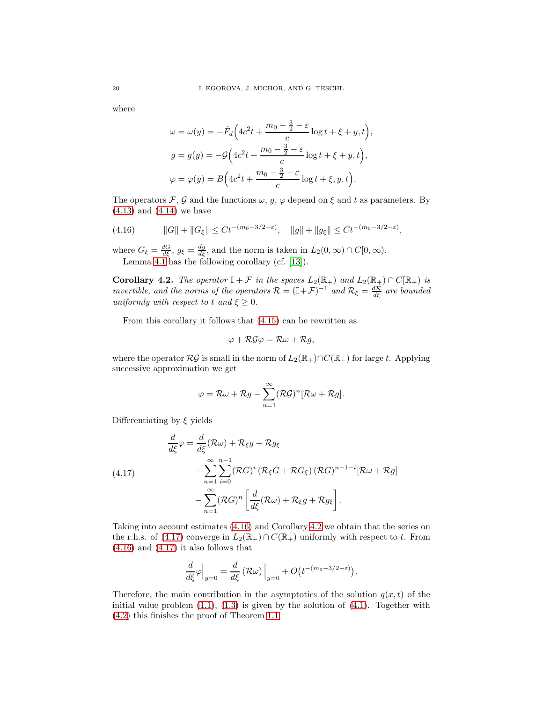where

$$
\omega = \omega(y) = -\hat{F}_d \Big( 4c^2 t + \frac{m_0 - \frac{3}{2} - \varepsilon}{c} \log t + \xi + y, t \Big),
$$
  
\n
$$
g = g(y) = -\mathcal{G} \Big( 4c^2 t + \frac{m_0 - \frac{3}{2} - \varepsilon}{c} \log t + \xi + y, t \Big),
$$
  
\n
$$
\varphi = \varphi(y) = B \Big( 4c^2 t + \frac{m_0 - \frac{3}{2} - \varepsilon}{c} \log t + \xi, y, t \Big).
$$

The operators F, G and the functions  $\omega$ ,  $g$ ,  $\varphi$  depend on  $\xi$  and  $t$  as parameters. By [\(4.13\)](#page-18-3) and [\(4.14\)](#page-18-4) we have

<span id="page-19-0"></span>(4.16) 
$$
||G|| + ||G_{\xi}|| \leq Ct^{-(m_0 - 3/2 - \varepsilon)}, \quad ||g|| + ||g_{\xi}|| \leq Ct^{-(m_0 - 3/2 - \varepsilon)},
$$

where  $G_{\xi} = \frac{dG}{d\xi}$ ,  $g_{\xi} = \frac{dg}{d\xi}$ , and the norm is taken in  $L_2(0, \infty) \cap C[0, \infty)$ . Lemma [4.1](#page-15-0) has the following corollary (cf. [\[13\]](#page-20-17)).

<span id="page-19-1"></span>Corollary 4.2. The operator  $\mathbb{I} + \mathcal{F}$  in the spaces  $L_2(\mathbb{R}_+)$  and  $L_2(\mathbb{R}_+) \cap C(\mathbb{R}_+)$  is invertible, and the norms of the operators  $\mathcal{R} = (\mathbb{I} + \mathcal{F})^{-1}$  and  $\mathcal{R}_{\xi} = \frac{d\mathcal{R}}{d\xi}$  are bounded uniformly with respect to t and  $\xi \geq 0$ .

From this corollary it follows that [\(4.15\)](#page-18-5) can be rewritten as

$$
\varphi+\mathcal{R}\mathcal{G}\varphi=\mathcal{R}\omega+\mathcal{R}g,
$$

where the operator  $\mathcal{RG}$  is small in the norm of  $L_2(\mathbb{R}_+) \cap C(\mathbb{R}_+)$  for large t. Applying successive approximation we get

$$
\varphi = \mathcal{R}\omega + \mathcal{R}g - \sum_{n=1}^{\infty} (\mathcal{R}\mathcal{G})^n [\mathcal{R}\omega + \mathcal{R}g].
$$

Differentiating by  $\xi$  yields

<span id="page-19-2"></span>(4.17)  
\n
$$
\frac{d}{d\xi}\varphi = \frac{d}{d\xi}(\mathcal{R}\omega) + \mathcal{R}_{\xi}g + \mathcal{R}g_{\xi}
$$
\n
$$
-\sum_{n=1}^{\infty}\sum_{i=0}^{n-1}(\mathcal{R}G)^{i}(\mathcal{R}_{\xi}G + \mathcal{R}G_{\xi})(\mathcal{R}G)^{n-1-i}[\mathcal{R}\omega + \mathcal{R}g]
$$
\n
$$
-\sum_{n=1}^{\infty}(\mathcal{R}G)^{n}\left[\frac{d}{d\xi}(\mathcal{R}\omega) + \mathcal{R}_{\xi}g + \mathcal{R}g_{\xi}\right].
$$

Taking into account estimates [\(4.16\)](#page-19-0) and Corollary [4.2](#page-19-1) we obtain that the series on the r.h.s. of [\(4.17\)](#page-19-2) converge in  $L_2(\mathbb{R}_+) \cap C(\mathbb{R}_+)$  uniformly with respect to t. From  $(4.16)$  and  $(4.17)$  it also follows that

$$
\frac{d}{d\xi}\varphi\Big|_{y=0} = \frac{d}{d\xi} \left(\mathcal{R}\omega\right)\Big|_{y=0} + O\left(t^{-(m_0-3/2-\varepsilon)}\right).
$$

Therefore, the main contribution in the asymptotics of the solution  $q(x, t)$  of the initial value problem  $(1.1)$ ,  $(1.3)$  is given by the solution of  $(4.1)$ . Together with [\(4.2\)](#page-16-2) this finishes the proof of Theorem [1.1.](#page-1-3)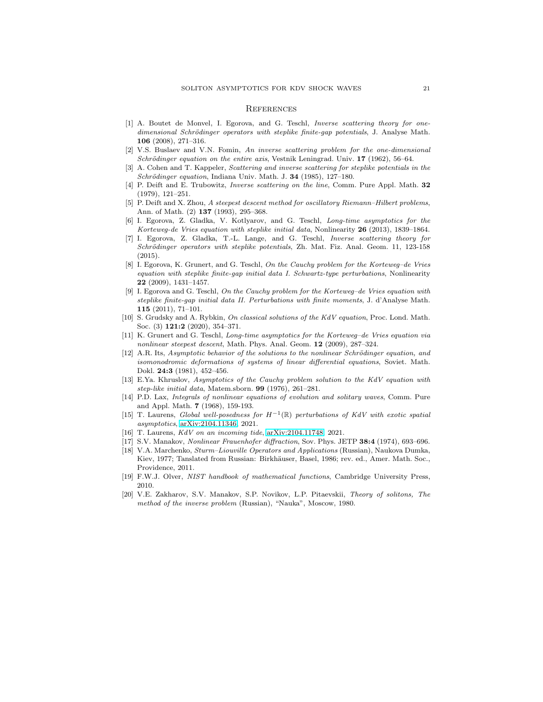#### **REFERENCES**

- <span id="page-20-12"></span>[1] A. Boutet de Monvel, I. Egorova, and G. Teschl, Inverse scattering theory for onedimensional Schrödinger operators with steplike finite-gap potentials, J. Analyse Math. 106 (2008), 271–316.
- <span id="page-20-15"></span>[2] V.S. Buslaev and V.N. Fomin, An inverse scattering problem for the one-dimensional Schrödinger equation on the entire axis, Vestnik Leningrad. Univ.  $17$  (1962), 56–64.
- <span id="page-20-13"></span>[3] A. Cohen and T. Kappeler, Scattering and inverse scattering for steplike potentials in the Schrödinger equation, Indiana Univ. Math. J.  $34$  (1985), 127-180.
- <span id="page-20-11"></span>[4] P. Deift and E. Trubowitz, Inverse scattering on the line, Comm. Pure Appl. Math. 32 (1979), 121–251.
- <span id="page-20-0"></span>[5] P. Deift and X. Zhou, A steepest descent method for oscillatory Riemann–Hilbert problems, Ann. of Math. (2) 137 (1993), 295–368.
- <span id="page-20-4"></span>[6] I. Egorova, Z. Gladka, V. Kotlyarov, and G. Teschl, Long-time asymptotics for the Korteweg-de Vries equation with steplike initial data, Nonlinearity 26 (2013), 1839–1864.
- <span id="page-20-14"></span>[7] I. Egorova, Z. Gladka, T.-L. Lange, and G. Teschl, Inverse scattering theory for Schrödinger operators with steplike potentials, Zh. Mat. Fiz. Anal. Geom. 11, 123-158 (2015).
- <span id="page-20-8"></span>[8] I. Egorova, K. Grunert, and G. Teschl, On the Cauchy problem for the Korteweg–de Vries equation with steplike finite-gap initial data I. Schwartz-type perturbations, Nonlinearity 22 (2009), 1431–1457.
- <span id="page-20-9"></span>[9] I. Egorova and G. Teschl, On the Cauchy problem for the Korteweg–de Vries equation with steplike finite-gap initial data II. Perturbations with finite moments, J. d'Analyse Math. 115 (2011), 71–101.
- <span id="page-20-5"></span>[10] S. Grudsky and A. Rybkin, On classical solutions of the KdV equation, Proc. Lond. Math. Soc. (3) **121:2** (2020), 354-371.
- <span id="page-20-3"></span>[11] K. Grunert and G. Teschl, Long-time asymptotics for the Korteweg–de Vries equation via nonlinear steepest descent, Math. Phys. Anal. Geom. 12 (2009), 287–324.
- <span id="page-20-2"></span>[12] A.R. Its, Asymptotic behavior of the solutions to the nonlinear Schrödinger equation, and isomonodromic deformations of systems of linear differential equations, Soviet. Math. Dokl. 24:3 (1981), 452–456.
- <span id="page-20-17"></span>[13] E.Ya. Khruslov, Asymptotics of the Cauchy problem solution to the KdV equation with step-like initial data, Matem.sborn. 99 (1976), 261–281.
- <span id="page-20-16"></span>[14] P.D. Lax, Integrals of nonlinear equations of evolution and solitary waves, Comm. Pure and Appl. Math. 7 (1968), 159-193.
- <span id="page-20-6"></span>[15] T. Laurens, Global well-posedness for  $H^{-1}(\mathbb{R})$  perturbations of KdV with exotic spatial asymptotics, [arXiv:2104.11346,](http://arxiv.org/abs/2104.11346) 2021.
- <span id="page-20-7"></span><span id="page-20-1"></span>[16] T. Laurens, *KdV on an incoming tide*, [arXiv:2104.11748,](http://arxiv.org/abs/2104.11748) 2021.
- <span id="page-20-10"></span>[17] S.V. Manakov, Nonlinear Frauenhofer diffraction, Sov. Phys. JETP 38:4 (1974), 693–696.
- [18] V.A. Marchenko, Sturm–Liouville Operators and Applications (Russian), Naukova Dumka, Kiev, 1977; Tanslated from Russian: Birkhäuser, Basel, 1986; rev. ed., Amer. Math. Soc., Providence, 2011.
- <span id="page-20-18"></span>[19] F.W.J. Olver, NIST handbook of mathematical functions, Cambridge University Press, 2010.
- <span id="page-20-19"></span>[20] V.E. Zakharov, S.V. Manakov, S.P. Novikov, L.P. Pitaevskii, Theory of solitons, The method of the inverse problem (Russian), "Nauka", Moscow, 1980.